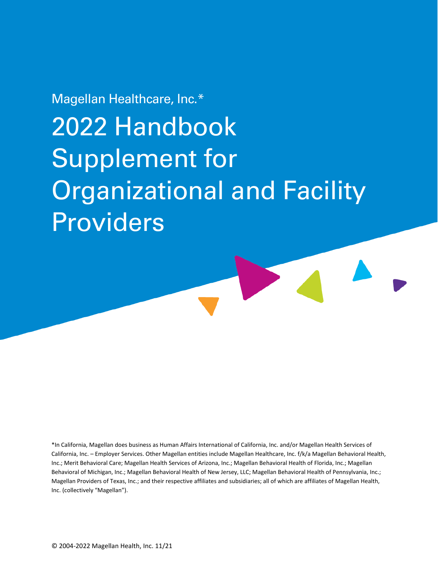# Magellan Healthcare, Inc.\*

# 2022 Handbook Supplement for Organizational and Facility Providers

\*In California, Magellan does business as Human Affairs International of California, Inc. and/or Magellan Health Services of California, Inc. – Employer Services. Other Magellan entities include Magellan Healthcare, Inc. f/k/a Magellan Behavioral Health, Inc.; Merit Behavioral Care; Magellan Health Services of Arizona, Inc.; Magellan Behavioral Health of Florida, Inc.; Magellan Behavioral of Michigan, Inc.; Magellan Behavioral Health of New Jersey, LLC; Magellan Behavioral Health of Pennsylvania, Inc.; Magellan Providers of Texas, Inc.; and their respective affiliates and subsidiaries; all of which are affiliates of Magellan Health, Inc. (collectively "Magellan").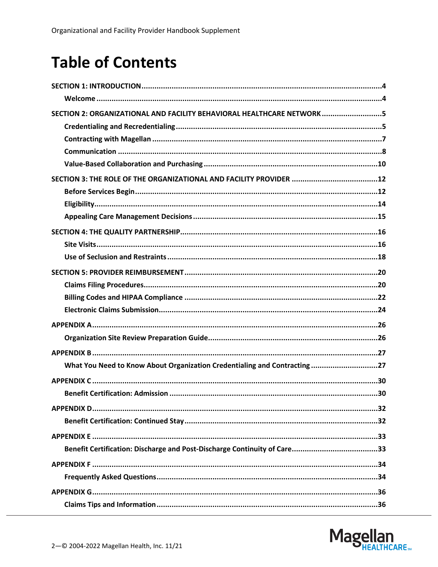# **Table of Contents**

| SECTION 2: ORGANIZATIONAL AND FACILITY BEHAVIORAL HEALTHCARE NETWORK5     |
|---------------------------------------------------------------------------|
|                                                                           |
|                                                                           |
|                                                                           |
|                                                                           |
|                                                                           |
|                                                                           |
|                                                                           |
|                                                                           |
|                                                                           |
|                                                                           |
|                                                                           |
|                                                                           |
|                                                                           |
|                                                                           |
|                                                                           |
|                                                                           |
|                                                                           |
|                                                                           |
| What You Need to Know About Organization Credentialing and Contracting 27 |
|                                                                           |
|                                                                           |
|                                                                           |
|                                                                           |
|                                                                           |
|                                                                           |
|                                                                           |
|                                                                           |
|                                                                           |
|                                                                           |

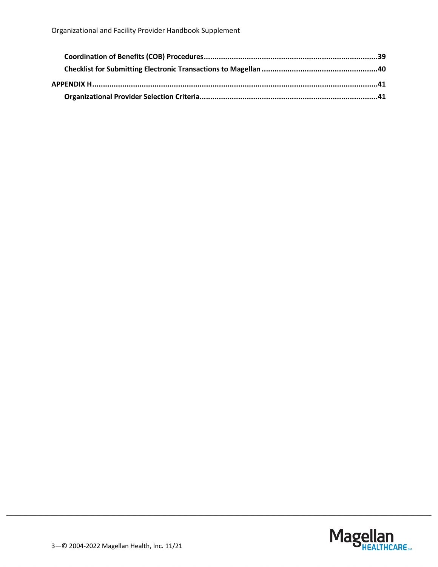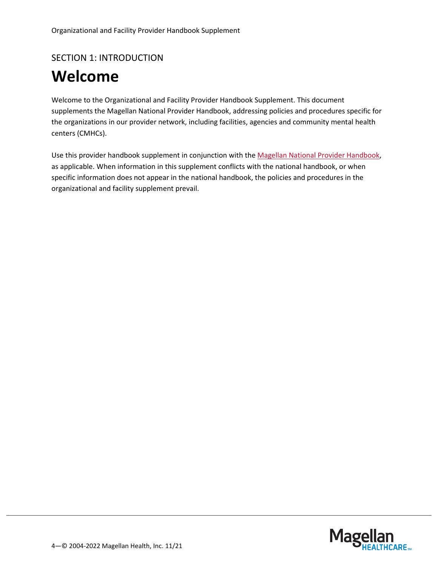### <span id="page-3-0"></span>SECTION 1: INTRODUCTION

# <span id="page-3-1"></span>**Welcome**

Welcome to the Organizational and Facility Provider Handbook Supplement. This document supplements the Magellan National Provider Handbook, addressing policies and procedures specific for the organizations in our provider network, including facilities, agencies and community mental health centers (CMHCs).

Use this provider handbook supplement in conjunction with the [Magellan National Provider Handbook,](https://www.magellanprovider.com/news-publications/handbooks.aspx?leftmenu=1&sub=none) as applicable. When information in this supplement conflicts with the national handbook, or when specific information does not appear in the national handbook, the policies and procedures in the organizational and facility supplement prevail.

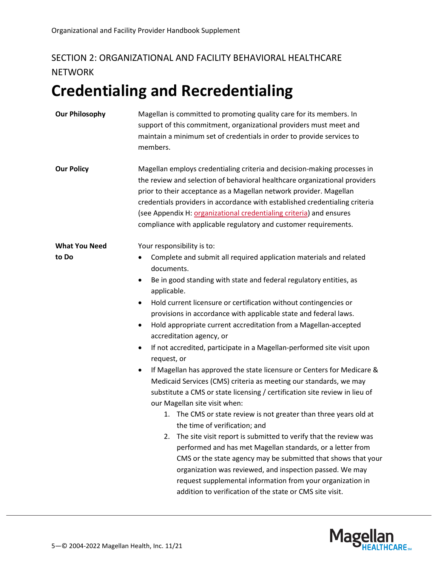# <span id="page-4-0"></span>SECTION 2: ORGANIZATIONAL AND FACILITY BEHAVIORAL HEALTHCARE **NETWORK**

# <span id="page-4-1"></span>**Credentialing and Recredentialing**

| <b>Our Philosophy</b> | Magellan is committed to promoting quality care for its members. In<br>support of this commitment, organizational providers must meet and<br>maintain a minimum set of credentials in order to provide services to<br>members.                                                                                                                                                                                                                         |
|-----------------------|--------------------------------------------------------------------------------------------------------------------------------------------------------------------------------------------------------------------------------------------------------------------------------------------------------------------------------------------------------------------------------------------------------------------------------------------------------|
| <b>Our Policy</b>     | Magellan employs credentialing criteria and decision-making processes in<br>the review and selection of behavioral healthcare organizational providers<br>prior to their acceptance as a Magellan network provider. Magellan<br>credentials providers in accordance with established credentialing criteria<br>(see Appendix H: organizational credentialing criteria) and ensures<br>compliance with applicable regulatory and customer requirements. |
| <b>What You Need</b>  | Your responsibility is to:                                                                                                                                                                                                                                                                                                                                                                                                                             |
| to Do                 | Complete and submit all required application materials and related<br>$\bullet$<br>documents.                                                                                                                                                                                                                                                                                                                                                          |
|                       | Be in good standing with state and federal regulatory entities, as<br>$\bullet$<br>applicable.                                                                                                                                                                                                                                                                                                                                                         |
|                       | Hold current licensure or certification without contingencies or<br>$\bullet$                                                                                                                                                                                                                                                                                                                                                                          |
|                       | provisions in accordance with applicable state and federal laws.                                                                                                                                                                                                                                                                                                                                                                                       |
|                       | Hold appropriate current accreditation from a Magellan-accepted<br>$\bullet$<br>accreditation agency, or                                                                                                                                                                                                                                                                                                                                               |
|                       | If not accredited, participate in a Magellan-performed site visit upon<br>$\bullet$<br>request, or                                                                                                                                                                                                                                                                                                                                                     |
|                       | If Magellan has approved the state licensure or Centers for Medicare &<br>$\bullet$                                                                                                                                                                                                                                                                                                                                                                    |
|                       | Medicaid Services (CMS) criteria as meeting our standards, we may                                                                                                                                                                                                                                                                                                                                                                                      |
|                       | substitute a CMS or state licensing / certification site review in lieu of                                                                                                                                                                                                                                                                                                                                                                             |
|                       | our Magellan site visit when:                                                                                                                                                                                                                                                                                                                                                                                                                          |
|                       | 1. The CMS or state review is not greater than three years old at                                                                                                                                                                                                                                                                                                                                                                                      |
|                       | the time of verification; and                                                                                                                                                                                                                                                                                                                                                                                                                          |
|                       | The site visit report is submitted to verify that the review was<br>2.                                                                                                                                                                                                                                                                                                                                                                                 |
|                       | performed and has met Magellan standards, or a letter from                                                                                                                                                                                                                                                                                                                                                                                             |
|                       | CMS or the state agency may be submitted that shows that your                                                                                                                                                                                                                                                                                                                                                                                          |
|                       | organization was reviewed, and inspection passed. We may                                                                                                                                                                                                                                                                                                                                                                                               |
|                       | request supplemental information from your organization in                                                                                                                                                                                                                                                                                                                                                                                             |
|                       | addition to verification of the state or CMS site visit.                                                                                                                                                                                                                                                                                                                                                                                               |

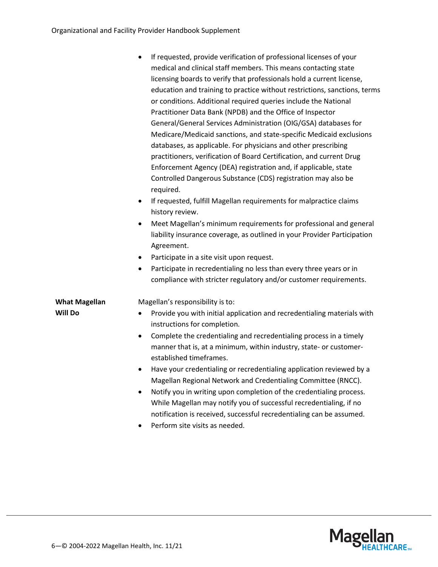|                                        | If requested, provide verification of professional licenses of your<br>medical and clinical staff members. This means contacting state<br>licensing boards to verify that professionals hold a current license,<br>education and training to practice without restrictions, sanctions, terms<br>or conditions. Additional required queries include the National<br>Practitioner Data Bank (NPDB) and the Office of Inspector<br>General/General Services Administration (OIG/GSA) databases for<br>Medicare/Medicaid sanctions, and state-specific Medicaid exclusions<br>databases, as applicable. For physicians and other prescribing                                                                                                                                                                            |
|----------------------------------------|---------------------------------------------------------------------------------------------------------------------------------------------------------------------------------------------------------------------------------------------------------------------------------------------------------------------------------------------------------------------------------------------------------------------------------------------------------------------------------------------------------------------------------------------------------------------------------------------------------------------------------------------------------------------------------------------------------------------------------------------------------------------------------------------------------------------|
|                                        | practitioners, verification of Board Certification, and current Drug<br>Enforcement Agency (DEA) registration and, if applicable, state<br>Controlled Dangerous Substance (CDS) registration may also be<br>required.<br>If requested, fulfill Magellan requirements for malpractice claims<br>$\bullet$<br>history review.                                                                                                                                                                                                                                                                                                                                                                                                                                                                                         |
|                                        | Meet Magellan's minimum requirements for professional and general<br>$\bullet$<br>liability insurance coverage, as outlined in your Provider Participation<br>Agreement.<br>Participate in a site visit upon request.<br>$\bullet$<br>Participate in recredentialing no less than every three years or in<br>٠                                                                                                                                                                                                                                                                                                                                                                                                                                                                                                      |
| <b>What Magellan</b><br><b>Will Do</b> | compliance with stricter regulatory and/or customer requirements.<br>Magellan's responsibility is to:<br>Provide you with initial application and recredentialing materials with<br>٠<br>instructions for completion.<br>Complete the credentialing and recredentialing process in a timely<br>$\bullet$<br>manner that is, at a minimum, within industry, state- or customer-<br>established timeframes.<br>Have your credentialing or recredentialing application reviewed by a<br>Magellan Regional Network and Credentialing Committee (RNCC).<br>Notify you in writing upon completion of the credentialing process.<br>٠<br>While Magellan may notify you of successful recredentialing, if no<br>notification is received, successful recredentialing can be assumed.<br>Perform site visits as needed.<br>٠ |

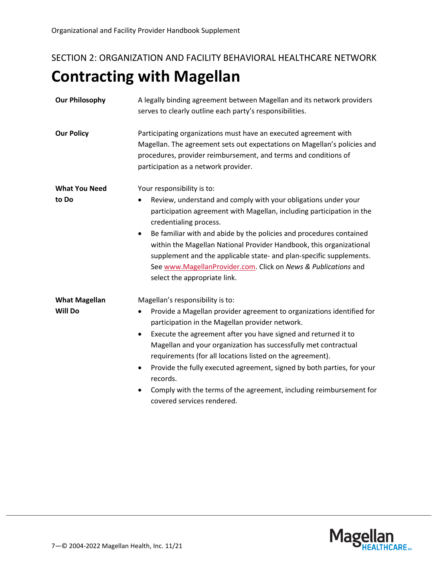# <span id="page-6-0"></span>SECTION 2: ORGANIZATION AND FACILITY BEHAVIORAL HEALTHCARE NETWORK **Contracting with Magellan**

| <b>Our Philosophy</b> | A legally binding agreement between Magellan and its network providers<br>serves to clearly outline each party's responsibilities.                                                                                                                                                                                               |
|-----------------------|----------------------------------------------------------------------------------------------------------------------------------------------------------------------------------------------------------------------------------------------------------------------------------------------------------------------------------|
| <b>Our Policy</b>     | Participating organizations must have an executed agreement with<br>Magellan. The agreement sets out expectations on Magellan's policies and<br>procedures, provider reimbursement, and terms and conditions of<br>participation as a network provider.                                                                          |
| <b>What You Need</b>  | Your responsibility is to:                                                                                                                                                                                                                                                                                                       |
| to Do                 | Review, understand and comply with your obligations under your<br>participation agreement with Magellan, including participation in the<br>credentialing process.                                                                                                                                                                |
|                       | Be familiar with and abide by the policies and procedures contained<br>$\bullet$<br>within the Magellan National Provider Handbook, this organizational<br>supplement and the applicable state- and plan-specific supplements.<br>See www.MagellanProvider.com. Click on News & Publications and<br>select the appropriate link. |
| <b>What Magellan</b>  | Magellan's responsibility is to:                                                                                                                                                                                                                                                                                                 |
| <b>Will Do</b>        | Provide a Magellan provider agreement to organizations identified for<br>$\bullet$<br>participation in the Magellan provider network.                                                                                                                                                                                            |
|                       | Execute the agreement after you have signed and returned it to<br>$\bullet$<br>Magellan and your organization has successfully met contractual<br>requirements (for all locations listed on the agreement).<br>Provide the fully executed agreement, signed by both parties, for your<br>$\bullet$<br>records.                   |
|                       | Comply with the terms of the agreement, including reimbursement for<br>covered services rendered.                                                                                                                                                                                                                                |

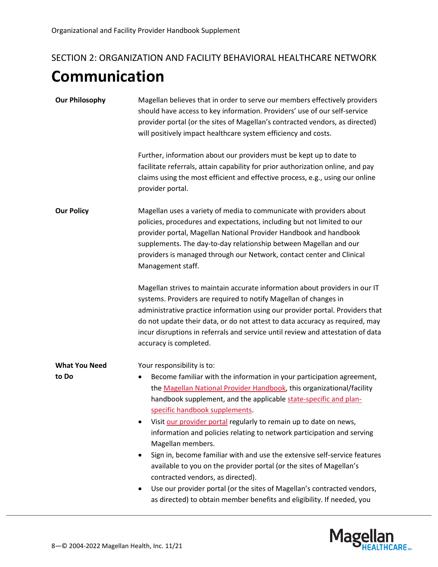# <span id="page-7-0"></span>SECTION 2: ORGANIZATION AND FACILITY BEHAVIORAL HEALTHCARE NETWORK **Communication**

| Magellan believes that in order to serve our members effectively providers<br>should have access to key information. Providers' use of our self-service<br>provider portal (or the sites of Magellan's contracted vendors, as directed)<br>will positively impact healthcare system efficiency and costs.<br>Further, information about our providers must be kept up to date to<br>facilitate referrals, attain capability for prior authorization online, and pay<br>claims using the most efficient and effective process, e.g., using our online<br>provider portal.                                                                                                                                                                                                                                            |
|---------------------------------------------------------------------------------------------------------------------------------------------------------------------------------------------------------------------------------------------------------------------------------------------------------------------------------------------------------------------------------------------------------------------------------------------------------------------------------------------------------------------------------------------------------------------------------------------------------------------------------------------------------------------------------------------------------------------------------------------------------------------------------------------------------------------|
| Magellan uses a variety of media to communicate with providers about<br>policies, procedures and expectations, including but not limited to our<br>provider portal, Magellan National Provider Handbook and handbook<br>supplements. The day-to-day relationship between Magellan and our<br>providers is managed through our Network, contact center and Clinical<br>Management staff.<br>Magellan strives to maintain accurate information about providers in our IT                                                                                                                                                                                                                                                                                                                                              |
| systems. Providers are required to notify Magellan of changes in<br>administrative practice information using our provider portal. Providers that<br>do not update their data, or do not attest to data accuracy as required, may<br>incur disruptions in referrals and service until review and attestation of data<br>accuracy is completed.                                                                                                                                                                                                                                                                                                                                                                                                                                                                      |
| Your responsibility is to:<br>Become familiar with the information in your participation agreement,<br>٠<br>the Magellan National Provider Handbook, this organizational/facility<br>handbook supplement, and the applicable state-specific and plan-<br>specific handbook supplements.<br>Visit our provider portal regularly to remain up to date on news,<br>information and policies relating to network participation and serving<br>Magellan members.<br>Sign in, become familiar with and use the extensive self-service features<br>٠<br>available to you on the provider portal (or the sites of Magellan's<br>contracted vendors, as directed).<br>Use our provider portal (or the sites of Magellan's contracted vendors,<br>٠<br>as directed) to obtain member benefits and eligibility. If needed, you |
|                                                                                                                                                                                                                                                                                                                                                                                                                                                                                                                                                                                                                                                                                                                                                                                                                     |

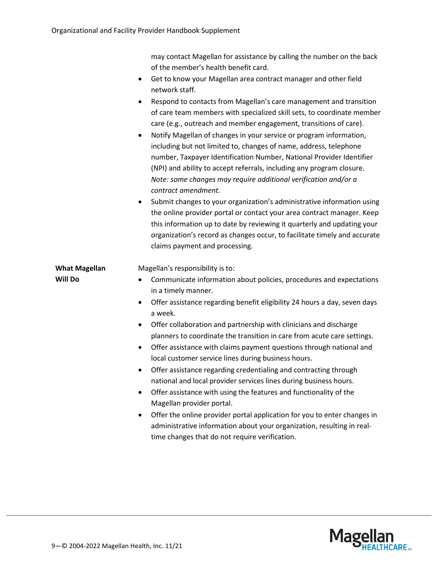|                      | may contact Magellan for assistance by calling the number on the back<br>of the member's health benefit card.                                                                                                                                                                                                                                                                                                                                                                                                                                                                                                                                                                                                                                                                                                                                                                                                                                                                        |
|----------------------|--------------------------------------------------------------------------------------------------------------------------------------------------------------------------------------------------------------------------------------------------------------------------------------------------------------------------------------------------------------------------------------------------------------------------------------------------------------------------------------------------------------------------------------------------------------------------------------------------------------------------------------------------------------------------------------------------------------------------------------------------------------------------------------------------------------------------------------------------------------------------------------------------------------------------------------------------------------------------------------|
|                      | Get to know your Magellan area contract manager and other field<br>$\bullet$<br>network staff.                                                                                                                                                                                                                                                                                                                                                                                                                                                                                                                                                                                                                                                                                                                                                                                                                                                                                       |
|                      | Respond to contacts from Magellan's care management and transition<br>$\bullet$<br>of care team members with specialized skill sets, to coordinate member<br>care (e.g., outreach and member engagement, transitions of care).<br>Notify Magellan of changes in your service or program information,<br>$\bullet$<br>including but not limited to, changes of name, address, telephone<br>number, Taxpayer Identification Number, National Provider Identifier<br>(NPI) and ability to accept referrals, including any program closure.<br>Note: some changes may require additional verification and/or a<br>contract amendment.<br>Submit changes to your organization's administrative information using<br>٠<br>the online provider portal or contact your area contract manager. Keep<br>this information up to date by reviewing it quarterly and updating your<br>organization's record as changes occur, to facilitate timely and accurate<br>claims payment and processing. |
| <b>What Magellan</b> | Magellan's responsibility is to:                                                                                                                                                                                                                                                                                                                                                                                                                                                                                                                                                                                                                                                                                                                                                                                                                                                                                                                                                     |
| <b>Will Do</b>       | Communicate information about policies, procedures and expectations<br>in a timely manner.                                                                                                                                                                                                                                                                                                                                                                                                                                                                                                                                                                                                                                                                                                                                                                                                                                                                                           |
|                      | Offer assistance regarding benefit eligibility 24 hours a day, seven days<br>٠<br>a week.                                                                                                                                                                                                                                                                                                                                                                                                                                                                                                                                                                                                                                                                                                                                                                                                                                                                                            |
|                      | Offer collaboration and partnership with clinicians and discharge<br>$\bullet$<br>planners to coordinate the transition in care from acute care settings.<br>Offer assistance with claims payment questions through national and<br>٠<br>local customer service lines during business hours.<br>Offer assistance regarding credentialing and contracting through<br>national and local provider services lines during business hours.<br>Offer assistance with using the features and functionality of the<br>$\bullet$<br>Magellan provider portal.<br>Offer the online provider portal application for you to enter changes in<br>$\bullet$<br>administrative information about your organization, resulting in real-<br>time changes that do not require verification.                                                                                                                                                                                                            |

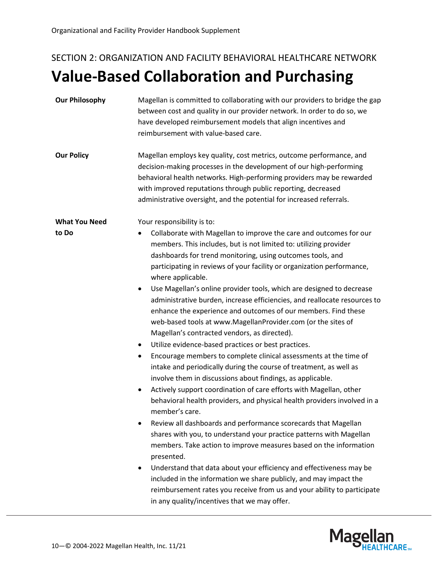# <span id="page-9-0"></span>SECTION 2: ORGANIZATION AND FACILITY BEHAVIORAL HEALTHCARE NETWORK **Value-Based Collaboration and Purchasing**

| <b>Our Philosophy</b>                                                                          | Magellan is committed to collaborating with our providers to bridge the gap<br>between cost and quality in our provider network. In order to do so, we<br>have developed reimbursement models that align incentives and<br>reimbursement with value-based care.                                                                                                                                                                                                                                                                                                                                                                                                                                                                                                                                                                                                                                                                                                                                                                                                                                                                                                                                                                                                                                                                                                                                                                                                                                                                                                                                                  |
|------------------------------------------------------------------------------------------------|------------------------------------------------------------------------------------------------------------------------------------------------------------------------------------------------------------------------------------------------------------------------------------------------------------------------------------------------------------------------------------------------------------------------------------------------------------------------------------------------------------------------------------------------------------------------------------------------------------------------------------------------------------------------------------------------------------------------------------------------------------------------------------------------------------------------------------------------------------------------------------------------------------------------------------------------------------------------------------------------------------------------------------------------------------------------------------------------------------------------------------------------------------------------------------------------------------------------------------------------------------------------------------------------------------------------------------------------------------------------------------------------------------------------------------------------------------------------------------------------------------------------------------------------------------------------------------------------------------------|
| <b>Our Policy</b>                                                                              | Magellan employs key quality, cost metrics, outcome performance, and<br>decision-making processes in the development of our high-performing<br>behavioral health networks. High-performing providers may be rewarded<br>with improved reputations through public reporting, decreased<br>administrative oversight, and the potential for increased referrals.                                                                                                                                                                                                                                                                                                                                                                                                                                                                                                                                                                                                                                                                                                                                                                                                                                                                                                                                                                                                                                                                                                                                                                                                                                                    |
| <b>What You Need</b><br>to Do<br>$\bullet$<br>$\bullet$<br>$\bullet$<br>$\bullet$<br>$\bullet$ | Your responsibility is to:<br>Collaborate with Magellan to improve the care and outcomes for our<br>members. This includes, but is not limited to: utilizing provider<br>dashboards for trend monitoring, using outcomes tools, and<br>participating in reviews of your facility or organization performance,<br>where applicable.<br>Use Magellan's online provider tools, which are designed to decrease<br>administrative burden, increase efficiencies, and reallocate resources to<br>enhance the experience and outcomes of our members. Find these<br>web-based tools at www.MagellanProvider.com (or the sites of<br>Magellan's contracted vendors, as directed).<br>Utilize evidence-based practices or best practices.<br>Encourage members to complete clinical assessments at the time of<br>intake and periodically during the course of treatment, as well as<br>involve them in discussions about findings, as applicable.<br>Actively support coordination of care efforts with Magellan, other<br>behavioral health providers, and physical health providers involved in a<br>member's care.<br>Review all dashboards and performance scorecards that Magellan<br>shares with you, to understand your practice patterns with Magellan<br>members. Take action to improve measures based on the information<br>presented.<br>Understand that data about your efficiency and effectiveness may be<br>included in the information we share publicly, and may impact the<br>reimbursement rates you receive from us and your ability to participate<br>in any quality/incentives that we may offer. |

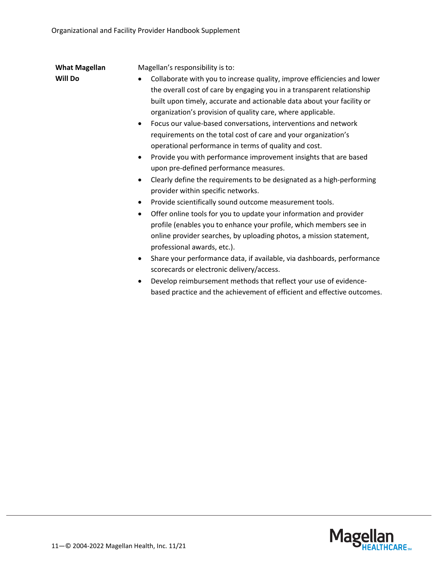| <b>What Magellan</b> | Magellan's responsibility is to:                                                                                                                                                                                                                                                                                                                                                                                                                                                                                                                                                                                                                                                                                                                                                                                                                                                                                                                                                                                                                                                                                                                                                                                                                                                                                                                                                    |
|----------------------|-------------------------------------------------------------------------------------------------------------------------------------------------------------------------------------------------------------------------------------------------------------------------------------------------------------------------------------------------------------------------------------------------------------------------------------------------------------------------------------------------------------------------------------------------------------------------------------------------------------------------------------------------------------------------------------------------------------------------------------------------------------------------------------------------------------------------------------------------------------------------------------------------------------------------------------------------------------------------------------------------------------------------------------------------------------------------------------------------------------------------------------------------------------------------------------------------------------------------------------------------------------------------------------------------------------------------------------------------------------------------------------|
| <b>Will Do</b>       | Collaborate with you to increase quality, improve efficiencies and lower<br>the overall cost of care by engaging you in a transparent relationship<br>built upon timely, accurate and actionable data about your facility or<br>organization's provision of quality care, where applicable.<br>Focus our value-based conversations, interventions and network<br>$\bullet$<br>requirements on the total cost of care and your organization's<br>operational performance in terms of quality and cost.<br>Provide you with performance improvement insights that are based<br>$\bullet$<br>upon pre-defined performance measures.<br>Clearly define the requirements to be designated as a high-performing<br>٠<br>provider within specific networks.<br>Provide scientifically sound outcome measurement tools.<br>٠<br>Offer online tools for you to update your information and provider<br>$\bullet$<br>profile (enables you to enhance your profile, which members see in<br>online provider searches, by uploading photos, a mission statement,<br>professional awards, etc.).<br>Share your performance data, if available, via dashboards, performance<br>$\bullet$<br>scorecards or electronic delivery/access.<br>Develop reimbursement methods that reflect your use of evidence-<br>$\bullet$<br>based practice and the achievement of efficient and effective outcomes. |
|                      |                                                                                                                                                                                                                                                                                                                                                                                                                                                                                                                                                                                                                                                                                                                                                                                                                                                                                                                                                                                                                                                                                                                                                                                                                                                                                                                                                                                     |

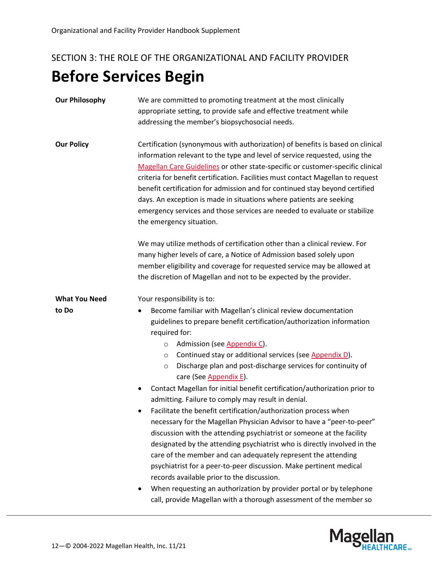# <span id="page-11-1"></span><span id="page-11-0"></span>SECTION 3: THE ROLE OF THE ORGANIZATIONAL AND FACILITY PROVIDER **Before Services Begin**

- **Our Philosophy** We are committed to promoting treatment at the most clinically appropriate setting, to provide safe and effective treatment while addressing the member's biopsychosocial needs. **Our Policy** Certification (synonymous with authorization) of benefits is based on clinical information relevant to the type and level of service requested, using the [Magellan Care Guidelines](https://www.magellanprovider.com/providing-care/clinical-guidelines/medical-necessity-criteria.aspx) or other state-specific or customer-specific clinical criteria for benefit certification. Facilities must contact Magellan to request benefit certification for admission and for continued stay beyond certified days. An exception is made in situations where patients are seeking emergency services and those services are needed to evaluate or stabilize the emergency situation. We may utilize methods of certification other than a clinical review. For many higher levels of care, a Notice of Admission based solely upon member eligibility and coverage for requested service may be allowed at the discretion of Magellan and not to be expected by the provider. **What You Need to Do** Your responsibility is to: • Become familiar with Magellan's clinical review documentation guidelines to prepare benefit certification/authorization information required for: o Admission (se[e Appendix C\)](#page-29-0). o Continued stay or additional services (see [Appendix D\)](#page-31-1).
	- o Discharge plan and post-discharge services for continuity of care (Se[e Appendix E\)](#page-32-0).
	- Contact Magellan for initial benefit certification/authorization prior to admitting. Failure to comply may result in denial.
	- Facilitate the benefit certification/authorization process when necessary for the Magellan Physician Advisor to have a "peer-to-peer" discussion with the attending psychiatrist or someone at the facility designated by the attending psychiatrist who is directly involved in the care of the member and can adequately represent the attending psychiatrist for a peer-to-peer discussion. Make pertinent medical records available prior to the discussion.
	- When requesting an authorization by provider portal or by telephone call, provide Magellan with a thorough assessment of the member so

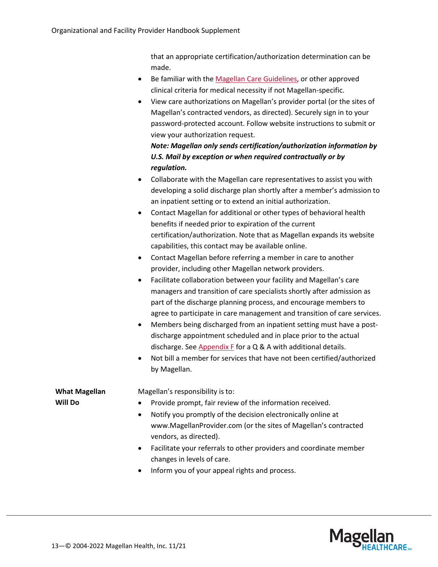that an appropriate certification/authorization determination can be made.

- Be familiar with the [Magellan Care](https://www.magellanprovider.com/providing-care/clinical-guidelines/medical-necessity-criteria.aspx) Guidelines, or other approved clinical criteria for medical necessity if not Magellan-specific.
- View care authorizations on Magellan's provider portal (or the sites of Magellan's contracted vendors, as directed). Securely sign in to your password-protected account. Follow website instructions to submit or view your authorization request.

*Note: Magellan only sends certification/authorization information by U.S. Mail by exception or when required contractually or by regulation.*

- Collaborate with the Magellan care representatives to assist you with developing a solid discharge plan shortly after a member's admission to an inpatient setting or to extend an initial authorization.
- Contact Magellan for additional or other types of behavioral health benefits if needed prior to expiration of the current certification/authorization. Note that as Magellan expands its website capabilities, this contact may be available online.
- Contact Magellan before referring a member in care to another provider, including other Magellan network providers.
- Facilitate collaboration between your facility and Magellan's care managers and transition of care specialists shortly after admission as part of the discharge planning process, and encourage members to agree to participate in care management and transition of care services.
- Members being discharged from an inpatient setting must have a postdischarge appointment scheduled and in place prior to the actual discharge. See [Appendix F](#page-33-0) for a Q & A with additional details.
- Not bill a member for services that have not been certified/authorized by Magellan.

**What Magellan Will Do**

Magellan's responsibility is to:

- Provide prompt, fair review of the information received.
- Notify you promptly of the decision electronically online at www.MagellanProvider.com (or the sites of Magellan's contracted vendors, as directed).
- Facilitate your referrals to other providers and coordinate member changes in levels of care.
- Inform you of your appeal rights and process.

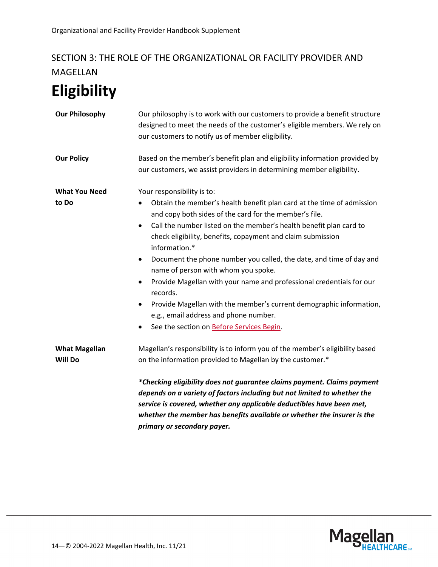# SECTION 3: THE ROLE OF THE ORGANIZATIONAL OR FACILITY PROVIDER AND MAGELLAN

# <span id="page-13-0"></span>**Eligibility**

| <b>Our Philosophy</b>           | Our philosophy is to work with our customers to provide a benefit structure<br>designed to meet the needs of the customer's eligible members. We rely on<br>our customers to notify us of member eligibility.                                                                                                                                                                                                                                                                                                                                                                                                                                                                       |
|---------------------------------|-------------------------------------------------------------------------------------------------------------------------------------------------------------------------------------------------------------------------------------------------------------------------------------------------------------------------------------------------------------------------------------------------------------------------------------------------------------------------------------------------------------------------------------------------------------------------------------------------------------------------------------------------------------------------------------|
| <b>Our Policy</b>               | Based on the member's benefit plan and eligibility information provided by<br>our customers, we assist providers in determining member eligibility.                                                                                                                                                                                                                                                                                                                                                                                                                                                                                                                                 |
| <b>What You Need</b>            | Your responsibility is to:                                                                                                                                                                                                                                                                                                                                                                                                                                                                                                                                                                                                                                                          |
| to Do                           | Obtain the member's health benefit plan card at the time of admission<br>and copy both sides of the card for the member's file.<br>Call the number listed on the member's health benefit plan card to<br>$\bullet$<br>check eligibility, benefits, copayment and claim submission<br>information.*<br>Document the phone number you called, the date, and time of day and<br>$\bullet$<br>name of person with whom you spoke.<br>Provide Magellan with your name and professional credentials for our<br>records.<br>Provide Magellan with the member's current demographic information,<br>٠<br>e.g., email address and phone number.<br>See the section on Before Services Begin. |
| <b>What Magellan</b><br>Will Do | Magellan's responsibility is to inform you of the member's eligibility based<br>on the information provided to Magellan by the customer.*                                                                                                                                                                                                                                                                                                                                                                                                                                                                                                                                           |
|                                 | *Checking eligibility does not guarantee claims payment. Claims payment<br>depends on a variety of factors including but not limited to whether the<br>service is covered, whether any applicable deductibles have been met,<br>whether the member has benefits available or whether the insurer is the<br>primary or secondary payer.                                                                                                                                                                                                                                                                                                                                              |

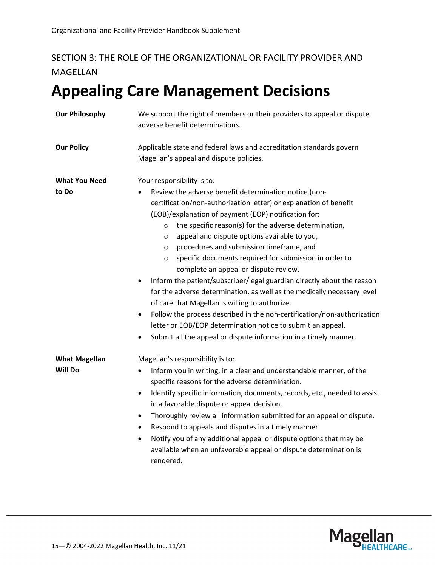# SECTION 3: THE ROLE OF THE ORGANIZATIONAL OR FACILITY PROVIDER AND MAGELLAN

# <span id="page-14-0"></span>**Appealing Care Management Decisions**

| <b>Our Philosophy</b>                  | We support the right of members or their providers to appeal or dispute<br>adverse benefit determinations.                                                                                                                                                                                                                                                                                                                                                                                                                                                                                                                                                                                                                                                                                                                                                                                                                                                            |
|----------------------------------------|-----------------------------------------------------------------------------------------------------------------------------------------------------------------------------------------------------------------------------------------------------------------------------------------------------------------------------------------------------------------------------------------------------------------------------------------------------------------------------------------------------------------------------------------------------------------------------------------------------------------------------------------------------------------------------------------------------------------------------------------------------------------------------------------------------------------------------------------------------------------------------------------------------------------------------------------------------------------------|
| <b>Our Policy</b>                      | Applicable state and federal laws and accreditation standards govern<br>Magellan's appeal and dispute policies.                                                                                                                                                                                                                                                                                                                                                                                                                                                                                                                                                                                                                                                                                                                                                                                                                                                       |
| <b>What You Need</b><br>to Do          | Your responsibility is to:<br>Review the adverse benefit determination notice (non-<br>٠<br>certification/non-authorization letter) or explanation of benefit<br>(EOB)/explanation of payment (EOP) notification for:<br>the specific reason(s) for the adverse determination,<br>$\circ$<br>appeal and dispute options available to you,<br>$\circ$<br>procedures and submission timeframe, and<br>$\circ$<br>specific documents required for submission in order to<br>$\circ$<br>complete an appeal or dispute review.<br>Inform the patient/subscriber/legal guardian directly about the reason<br>٠<br>for the adverse determination, as well as the medically necessary level<br>of care that Magellan is willing to authorize.<br>Follow the process described in the non-certification/non-authorization<br>٠<br>letter or EOB/EOP determination notice to submit an appeal.<br>Submit all the appeal or dispute information in a timely manner.<br>$\bullet$ |
| <b>What Magellan</b><br><b>Will Do</b> | Magellan's responsibility is to:<br>Inform you in writing, in a clear and understandable manner, of the<br>$\bullet$<br>specific reasons for the adverse determination.<br>Identify specific information, documents, records, etc., needed to assist<br>$\bullet$<br>in a favorable dispute or appeal decision.<br>Thoroughly review all information submitted for an appeal or dispute.<br>٠<br>Respond to appeals and disputes in a timely manner.<br>$\bullet$<br>Notify you of any additional appeal or dispute options that may be<br>available when an unfavorable appeal or dispute determination is<br>rendered.                                                                                                                                                                                                                                                                                                                                              |

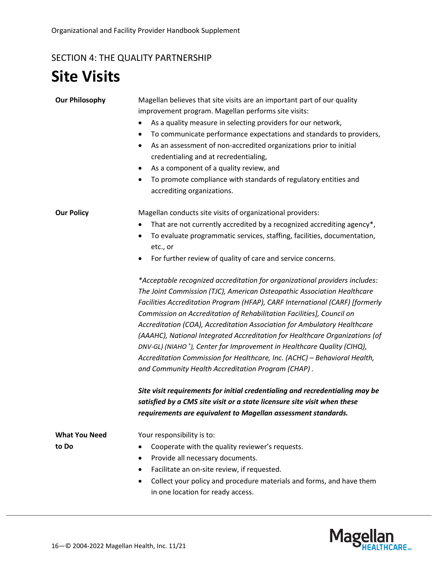# <span id="page-15-0"></span>SECTION 4: THE QUALITY PARTNERSHIP

# <span id="page-15-1"></span>**Site Visits**

| <b>Our Philosophy</b>         | Magellan believes that site visits are an important part of our quality<br>improvement program. Magellan performs site visits:<br>As a quality measure in selecting providers for our network,<br>To communicate performance expectations and standards to providers,<br>٠<br>As an assessment of non-accredited organizations prior to initial<br>$\bullet$<br>credentialing and at recredentialing,<br>As a component of a quality review, and<br>٠<br>To promote compliance with standards of regulatory entities and<br>٠<br>accrediting organizations.                                                                                                                                                                                                                                                                                                                                                                                                                                                                                                                                                                                                                                                                          |
|-------------------------------|--------------------------------------------------------------------------------------------------------------------------------------------------------------------------------------------------------------------------------------------------------------------------------------------------------------------------------------------------------------------------------------------------------------------------------------------------------------------------------------------------------------------------------------------------------------------------------------------------------------------------------------------------------------------------------------------------------------------------------------------------------------------------------------------------------------------------------------------------------------------------------------------------------------------------------------------------------------------------------------------------------------------------------------------------------------------------------------------------------------------------------------------------------------------------------------------------------------------------------------|
| <b>Our Policy</b>             | Magellan conducts site visits of organizational providers:<br>That are not currently accredited by a recognized accrediting agency*,<br>To evaluate programmatic services, staffing, facilities, documentation,<br>٠<br>etc., or<br>For further review of quality of care and service concerns.<br>*Acceptable recognized accreditation for organizational providers includes:<br>The Joint Commission (TJC), American Osteopathic Association Healthcare<br>Facilities Accreditation Program (HFAP), CARF International (CARF) [formerly<br>Commission on Accreditation of Rehabilitation Facilities], Council on<br>Accreditation (COA), Accreditation Association for Ambulatory Healthcare<br>(AAAHC), National Integrated Accreditation for Healthcare Organizations (of<br>DNV-GL) (NIAHO <sup>®</sup> ), Center for Improvement in Healthcare Quality (CIHQ),<br>Accreditation Commission for Healthcare, Inc. (ACHC) - Behavioral Health,<br>and Community Health Accreditation Program (CHAP).<br>Site visit requirements for initial credentialing and recredentialing may be<br>satisfied by a CMS site visit or a state licensure site visit when these<br>requirements are equivalent to Magellan assessment standards. |
| <b>What You Need</b><br>to Do | Your responsibility is to:<br>Cooperate with the quality reviewer's requests.<br>$\bullet$<br>Provide all necessary documents.<br>$\bullet$<br>Facilitate an on-site review, if requested.<br>٠<br>Collect your policy and procedure materials and forms, and have them<br>$\bullet$<br>in one location for ready access.                                                                                                                                                                                                                                                                                                                                                                                                                                                                                                                                                                                                                                                                                                                                                                                                                                                                                                            |

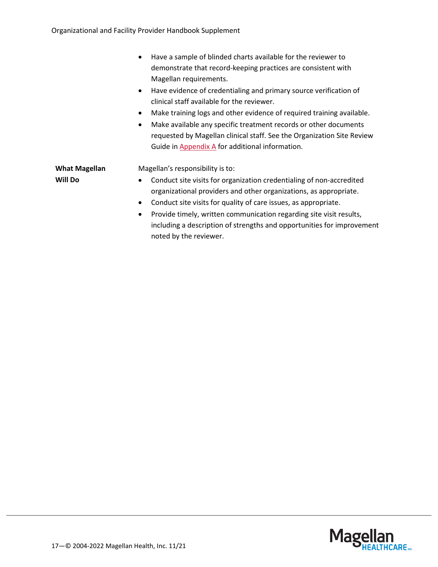|                      | Have a sample of blinded charts available for the reviewer to<br>$\bullet$         |
|----------------------|------------------------------------------------------------------------------------|
|                      | demonstrate that record-keeping practices are consistent with                      |
|                      | Magellan requirements.                                                             |
|                      | Have evidence of credentialing and primary source verification of<br>$\bullet$     |
|                      | clinical staff available for the reviewer.                                         |
|                      | Make training logs and other evidence of required training available.<br>$\bullet$ |
|                      | Make available any specific treatment records or other documents<br>$\bullet$      |
|                      | requested by Magellan clinical staff. See the Organization Site Review             |
|                      | Guide in Appendix A for additional information.                                    |
| <b>What Magellan</b> | Magellan's responsibility is to:                                                   |
| <b>Will Do</b>       | Conduct site visits for organization credentialing of non-accredited<br>$\bullet$  |
|                      | organizational providers and other organizations, as appropriate.                  |
|                      | Conduct site visits for quality of care issues, as appropriate.<br>$\bullet$       |
|                      | Provide timely, written communication regarding site visit results,<br>$\bullet$   |
|                      | including a description of strengths and opportunities for improvement             |
|                      | noted by the reviewer.                                                             |

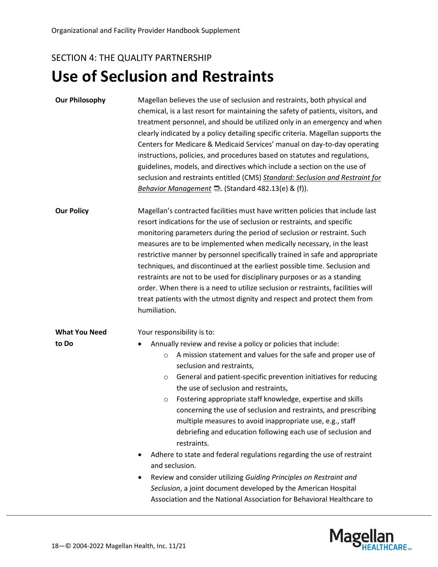## SECTION 4: THE QUALITY PARTNERSHIP

# <span id="page-17-0"></span>**Use of Seclusion and Restraints**

| <b>Our Philosophy</b>         | Magellan believes the use of seclusion and restraints, both physical and<br>chemical, is a last resort for maintaining the safety of patients, visitors, and<br>treatment personnel, and should be utilized only in an emergency and when<br>clearly indicated by a policy detailing specific criteria. Magellan supports the<br>Centers for Medicare & Medicaid Services' manual on day-to-day operating<br>instructions, policies, and procedures based on statutes and regulations,<br>guidelines, models, and directives which include a section on the use of<br>seclusion and restraints entitled (CMS) Standard: Seclusion and Restraint for<br>Behavior Management <b>D</b> . (Standard 482.13(e) & (f)).                                                                                                                                                                                                                |  |
|-------------------------------|----------------------------------------------------------------------------------------------------------------------------------------------------------------------------------------------------------------------------------------------------------------------------------------------------------------------------------------------------------------------------------------------------------------------------------------------------------------------------------------------------------------------------------------------------------------------------------------------------------------------------------------------------------------------------------------------------------------------------------------------------------------------------------------------------------------------------------------------------------------------------------------------------------------------------------|--|
| <b>Our Policy</b>             | Magellan's contracted facilities must have written policies that include last<br>resort indications for the use of seclusion or restraints, and specific<br>monitoring parameters during the period of seclusion or restraint. Such<br>measures are to be implemented when medically necessary, in the least<br>restrictive manner by personnel specifically trained in safe and appropriate<br>techniques, and discontinued at the earliest possible time. Seclusion and<br>restraints are not to be used for disciplinary purposes or as a standing<br>order. When there is a need to utilize seclusion or restraints, facilities will<br>treat patients with the utmost dignity and respect and protect them from<br>humiliation.                                                                                                                                                                                             |  |
| <b>What You Need</b><br>to Do | Your responsibility is to:<br>Annually review and revise a policy or policies that include:<br>A mission statement and values for the safe and proper use of<br>$\circ$<br>seclusion and restraints,<br>General and patient-specific prevention initiatives for reducing<br>$\circ$<br>the use of seclusion and restraints,<br>Fostering appropriate staff knowledge, expertise and skills<br>$\circ$<br>concerning the use of seclusion and restraints, and prescribing<br>multiple measures to avoid inappropriate use, e.g., staff<br>debriefing and education following each use of seclusion and<br>restraints.<br>Adhere to state and federal regulations regarding the use of restraint<br>and seclusion.<br>Review and consider utilizing Guiding Principles on Restraint and<br>Seclusion, a joint document developed by the American Hospital<br>Association and the National Association for Behavioral Healthcare to |  |

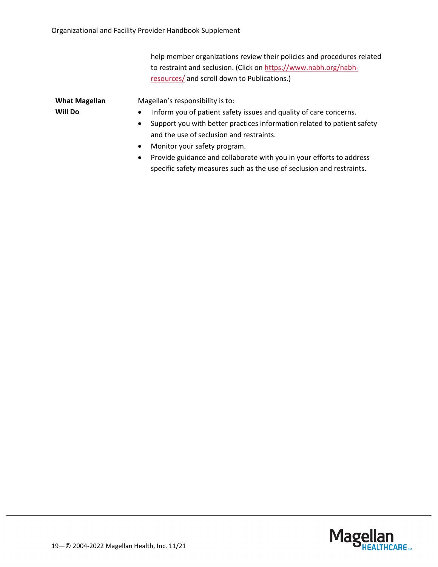help member organizations review their policies and procedures related to restraint and seclusion. (Click on [https://www.nabh.org/nabh](https://www.nabh.org/nabh-resources/)[resources/](https://www.nabh.org/nabh-resources/) and scroll down to Publications.)

| <b>What Magellan</b> |  |  |
|----------------------|--|--|
| Will Do              |  |  |

Magellan's responsibility is to:

- Inform you of patient safety issues and quality of care concerns.
- Support you with better practices information related to patient safety and the use of seclusion and restraints.
- Monitor your safety program.
- Provide guidance and collaborate with you in your efforts to address specific safety measures such as the use of seclusion and restraints.

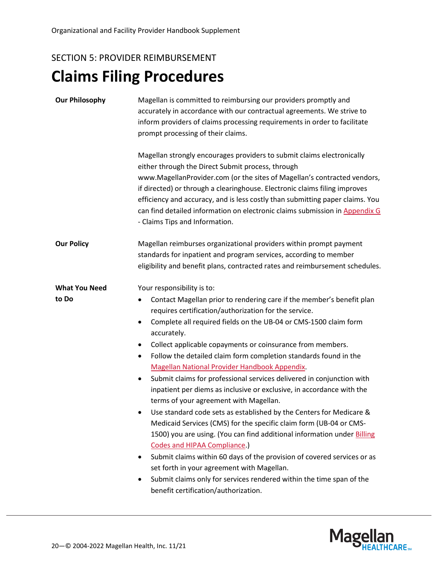# <span id="page-19-1"></span><span id="page-19-0"></span>SECTION 5: PROVIDER REIMBURSEMENT **Claims Filing Procedures**

| <b>Our Philosophy</b>         | Magellan is committed to reimbursing our providers promptly and<br>accurately in accordance with our contractual agreements. We strive to<br>inform providers of claims processing requirements in order to facilitate<br>prompt processing of their claims.<br>Magellan strongly encourages providers to submit claims electronically<br>either through the Direct Submit process, through<br>www.MagellanProvider.com (or the sites of Magellan's contracted vendors,<br>if directed) or through a clearinghouse. Electronic claims filing improves<br>efficiency and accuracy, and is less costly than submitting paper claims. You<br>can find detailed information on electronic claims submission in Appendix G<br>- Claims Tips and Information.                                                                                                                                                                                                                                                                                                                                                                                                                                       |  |
|-------------------------------|-----------------------------------------------------------------------------------------------------------------------------------------------------------------------------------------------------------------------------------------------------------------------------------------------------------------------------------------------------------------------------------------------------------------------------------------------------------------------------------------------------------------------------------------------------------------------------------------------------------------------------------------------------------------------------------------------------------------------------------------------------------------------------------------------------------------------------------------------------------------------------------------------------------------------------------------------------------------------------------------------------------------------------------------------------------------------------------------------------------------------------------------------------------------------------------------------|--|
| <b>Our Policy</b>             | Magellan reimburses organizational providers within prompt payment<br>standards for inpatient and program services, according to member<br>eligibility and benefit plans, contracted rates and reimbursement schedules.                                                                                                                                                                                                                                                                                                                                                                                                                                                                                                                                                                                                                                                                                                                                                                                                                                                                                                                                                                       |  |
| <b>What You Need</b><br>to Do | Your responsibility is to:<br>Contact Magellan prior to rendering care if the member's benefit plan<br>requires certification/authorization for the service.<br>Complete all required fields on the UB-04 or CMS-1500 claim form<br>٠<br>accurately.<br>Collect applicable copayments or coinsurance from members.<br>$\bullet$<br>Follow the detailed claim form completion standards found in the<br>$\bullet$<br>Magellan National Provider Handbook Appendix.<br>Submit claims for professional services delivered in conjunction with<br>$\bullet$<br>inpatient per diems as inclusive or exclusive, in accordance with the<br>terms of your agreement with Magellan.<br>Use standard code sets as established by the Centers for Medicare &<br>Medicaid Services (CMS) for the specific claim form (UB-04 or CMS-<br>1500) you are using. (You can find additional information under Billing<br>Codes and HIPAA Compliance.)<br>Submit claims within 60 days of the provision of covered services or as<br>$\bullet$<br>set forth in your agreement with Magellan.<br>Submit claims only for services rendered within the time span of the<br>٠<br>benefit certification/authorization. |  |

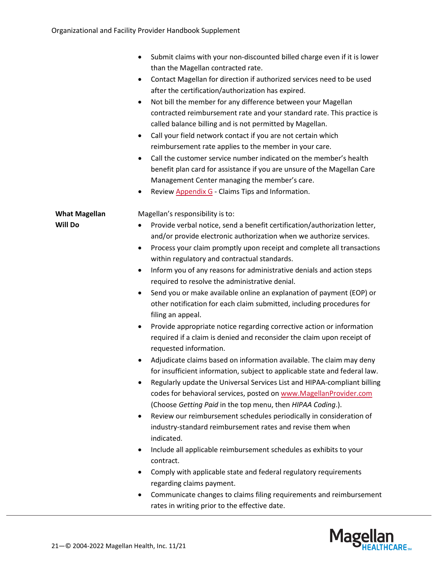|                                        | Submit claims with your non-discounted billed charge even if it is lower<br>than the Magellan contracted rate.<br>Contact Magellan for direction if authorized services need to be used<br>٠<br>after the certification/authorization has expired.<br>Not bill the member for any difference between your Magellan<br>$\bullet$<br>contracted reimbursement rate and your standard rate. This practice is<br>called balance billing and is not permitted by Magellan.<br>Call your field network contact if you are not certain which<br>$\bullet$<br>reimbursement rate applies to the member in your care.<br>Call the customer service number indicated on the member's health<br>$\bullet$<br>benefit plan card for assistance if you are unsure of the Magellan Care |
|----------------------------------------|---------------------------------------------------------------------------------------------------------------------------------------------------------------------------------------------------------------------------------------------------------------------------------------------------------------------------------------------------------------------------------------------------------------------------------------------------------------------------------------------------------------------------------------------------------------------------------------------------------------------------------------------------------------------------------------------------------------------------------------------------------------------------|
|                                        | Management Center managing the member's care.<br>Review Appendix G - Claims Tips and Information.<br>٠                                                                                                                                                                                                                                                                                                                                                                                                                                                                                                                                                                                                                                                                    |
| <b>What Magellan</b><br><b>Will Do</b> | Magellan's responsibility is to:<br>Provide verbal notice, send a benefit certification/authorization letter,<br>٠<br>and/or provide electronic authorization when we authorize services.                                                                                                                                                                                                                                                                                                                                                                                                                                                                                                                                                                                 |
|                                        | Process your claim promptly upon receipt and complete all transactions<br>$\bullet$<br>within regulatory and contractual standards.                                                                                                                                                                                                                                                                                                                                                                                                                                                                                                                                                                                                                                       |
|                                        | Inform you of any reasons for administrative denials and action steps<br>$\bullet$<br>required to resolve the administrative denial.                                                                                                                                                                                                                                                                                                                                                                                                                                                                                                                                                                                                                                      |
|                                        | Send you or make available online an explanation of payment (EOP) or<br>other notification for each claim submitted, including procedures for<br>filing an appeal.                                                                                                                                                                                                                                                                                                                                                                                                                                                                                                                                                                                                        |
|                                        | Provide appropriate notice regarding corrective action or information<br>$\bullet$<br>required if a claim is denied and reconsider the claim upon receipt of<br>requested information.                                                                                                                                                                                                                                                                                                                                                                                                                                                                                                                                                                                    |
|                                        | Adjudicate claims based on information available. The claim may deny<br>$\bullet$<br>for insufficient information, subject to applicable state and federal law.<br>Regularly update the Universal Services List and HIPAA-compliant billing<br>٠<br>codes for behavioral services, posted on www.MagellanProvider.com<br>(Choose Getting Paid in the top menu, then HIPAA Coding.).                                                                                                                                                                                                                                                                                                                                                                                       |
|                                        | Review our reimbursement schedules periodically in consideration of<br>$\bullet$<br>industry-standard reimbursement rates and revise them when<br>indicated.                                                                                                                                                                                                                                                                                                                                                                                                                                                                                                                                                                                                              |
|                                        | Include all applicable reimbursement schedules as exhibits to your<br>$\bullet$<br>contract.                                                                                                                                                                                                                                                                                                                                                                                                                                                                                                                                                                                                                                                                              |
|                                        | Comply with applicable state and federal regulatory requirements<br>٠<br>regarding claims payment.                                                                                                                                                                                                                                                                                                                                                                                                                                                                                                                                                                                                                                                                        |
|                                        | Communicate changes to claims filing requirements and reimbursement<br>rates in writing prior to the effective date.                                                                                                                                                                                                                                                                                                                                                                                                                                                                                                                                                                                                                                                      |

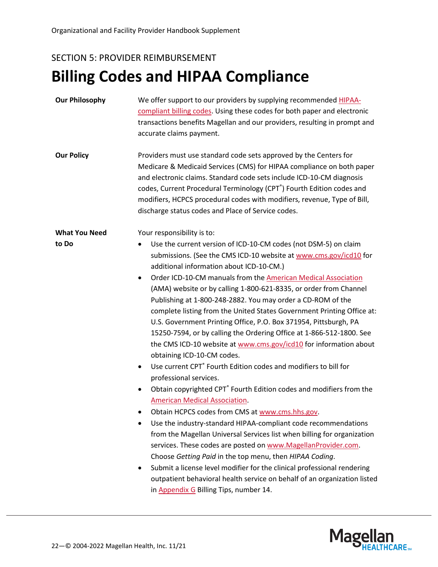### SECTION 5: PROVIDER REIMBURSEMENT

# <span id="page-21-0"></span>**Billing Codes and HIPAA Compliance**

| <b>Our Philosophy</b> | We offer support to our providers by supplying recommended HIPAA-<br>compliant billing codes. Using these codes for both paper and electronic<br>transactions benefits Magellan and our providers, resulting in prompt and<br>accurate claims payment.                                                                                                                                                                                                                                                                                                                                                                                                                                                                                                                                                                                                                                                                                                                                                                                                                                                                                                                                                                                                                                                                                                                                                                                                                                                                 |
|-----------------------|------------------------------------------------------------------------------------------------------------------------------------------------------------------------------------------------------------------------------------------------------------------------------------------------------------------------------------------------------------------------------------------------------------------------------------------------------------------------------------------------------------------------------------------------------------------------------------------------------------------------------------------------------------------------------------------------------------------------------------------------------------------------------------------------------------------------------------------------------------------------------------------------------------------------------------------------------------------------------------------------------------------------------------------------------------------------------------------------------------------------------------------------------------------------------------------------------------------------------------------------------------------------------------------------------------------------------------------------------------------------------------------------------------------------------------------------------------------------------------------------------------------------|
| <b>Our Policy</b>     | Providers must use standard code sets approved by the Centers for<br>Medicare & Medicaid Services (CMS) for HIPAA compliance on both paper<br>and electronic claims. Standard code sets include ICD-10-CM diagnosis<br>codes, Current Procedural Terminology (CPT®) Fourth Edition codes and<br>modifiers, HCPCS procedural codes with modifiers, revenue, Type of Bill,<br>discharge status codes and Place of Service codes.                                                                                                                                                                                                                                                                                                                                                                                                                                                                                                                                                                                                                                                                                                                                                                                                                                                                                                                                                                                                                                                                                         |
| <b>What You Need</b>  | Your responsibility is to:                                                                                                                                                                                                                                                                                                                                                                                                                                                                                                                                                                                                                                                                                                                                                                                                                                                                                                                                                                                                                                                                                                                                                                                                                                                                                                                                                                                                                                                                                             |
| to Do                 | Use the current version of ICD-10-CM codes (not DSM-5) on claim<br>submissions. (See the CMS ICD-10 website at www.cms.gov/icd10 for<br>additional information about ICD-10-CM.)<br>Order ICD-10-CM manuals from the American Medical Association<br>$\bullet$<br>(AMA) website or by calling 1-800-621-8335, or order from Channel<br>Publishing at 1-800-248-2882. You may order a CD-ROM of the<br>complete listing from the United States Government Printing Office at:<br>U.S. Government Printing Office, P.O. Box 371954, Pittsburgh, PA<br>15250-7594, or by calling the Ordering Office at 1-866-512-1800. See<br>the CMS ICD-10 website at www.cms.gov/icd10 for information about<br>obtaining ICD-10-CM codes.<br>Use current CPT <sup>®</sup> Fourth Edition codes and modifiers to bill for<br>$\bullet$<br>professional services.<br>Obtain copyrighted CPT <sup>®</sup> Fourth Edition codes and modifiers from the<br>$\bullet$<br><b>American Medical Association.</b><br>Obtain HCPCS codes from CMS at www.cms.hhs.gov.<br>Use the industry-standard HIPAA-compliant code recommendations<br>from the Magellan Universal Services list when billing for organization<br>services. These codes are posted on www.MagellanProvider.com.<br>Choose Getting Paid in the top menu, then HIPAA Coding.<br>Submit a license level modifier for the clinical professional rendering<br>outpatient behavioral health service on behalf of an organization listed<br>in Appendix G Billing Tips, number 14. |

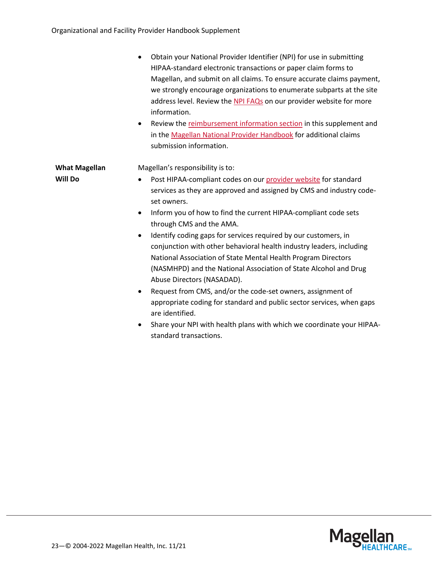|                      | Obtain your National Provider Identifier (NPI) for use in submitting<br>HIPAA-standard electronic transactions or paper claim forms to<br>Magellan, and submit on all claims. To ensure accurate claims payment,<br>we strongly encourage organizations to enumerate subparts at the site<br>address level. Review the NPI FAQs on our provider website for more<br>information.<br>Review the reimbursement information section in this supplement and<br>٠<br>in the Magellan National Provider Handbook for additional claims<br>submission information. |
|----------------------|-------------------------------------------------------------------------------------------------------------------------------------------------------------------------------------------------------------------------------------------------------------------------------------------------------------------------------------------------------------------------------------------------------------------------------------------------------------------------------------------------------------------------------------------------------------|
| <b>What Magellan</b> | Magellan's responsibility is to:                                                                                                                                                                                                                                                                                                                                                                                                                                                                                                                            |
| <b>Will Do</b>       | Post HIPAA-compliant codes on our provider website for standard<br>services as they are approved and assigned by CMS and industry code-                                                                                                                                                                                                                                                                                                                                                                                                                     |
|                      | set owners.                                                                                                                                                                                                                                                                                                                                                                                                                                                                                                                                                 |
|                      | Inform you of how to find the current HIPAA-compliant code sets<br>$\bullet$<br>through CMS and the AMA.                                                                                                                                                                                                                                                                                                                                                                                                                                                    |
|                      | Identify coding gaps for services required by our customers, in<br>$\bullet$<br>conjunction with other behavioral health industry leaders, including<br>National Association of State Mental Health Program Directors<br>(NASMHPD) and the National Association of State Alcohol and Drug<br>Abuse Directors (NASADAD).                                                                                                                                                                                                                                     |
|                      | Request from CMS, and/or the code-set owners, assignment of<br>٠<br>appropriate coding for standard and public sector services, when gaps<br>are identified.                                                                                                                                                                                                                                                                                                                                                                                                |
|                      | Share your NPI with health plans with which we coordinate your HIPAA-<br>٠<br>standard transactions.                                                                                                                                                                                                                                                                                                                                                                                                                                                        |

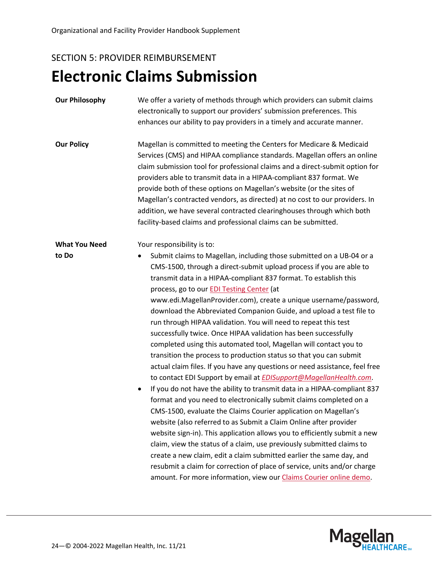# <span id="page-23-0"></span>SECTION 5: PROVIDER REIMBURSEMENT **Electronic Claims Submission**

| <b>Our Philosophy</b> | We offer a variety of methods through which providers can submit claims<br>electronically to support our providers' submission preferences. This<br>enhances our ability to pay providers in a timely and accurate manner.                                                                                                                                                                                                                                                                                                                                                                                                                                                                                                                                                                                                                                                                                                                                                                                                                                                                                                                                                                                                                                                                                                                                                                                                                                                                                                                          |
|-----------------------|-----------------------------------------------------------------------------------------------------------------------------------------------------------------------------------------------------------------------------------------------------------------------------------------------------------------------------------------------------------------------------------------------------------------------------------------------------------------------------------------------------------------------------------------------------------------------------------------------------------------------------------------------------------------------------------------------------------------------------------------------------------------------------------------------------------------------------------------------------------------------------------------------------------------------------------------------------------------------------------------------------------------------------------------------------------------------------------------------------------------------------------------------------------------------------------------------------------------------------------------------------------------------------------------------------------------------------------------------------------------------------------------------------------------------------------------------------------------------------------------------------------------------------------------------------|
| <b>Our Policy</b>     | Magellan is committed to meeting the Centers for Medicare & Medicaid<br>Services (CMS) and HIPAA compliance standards. Magellan offers an online<br>claim submission tool for professional claims and a direct-submit option for<br>providers able to transmit data in a HIPAA-compliant 837 format. We<br>provide both of these options on Magellan's website (or the sites of<br>Magellan's contracted vendors, as directed) at no cost to our providers. In<br>addition, we have several contracted clearinghouses through which both<br>facility-based claims and professional claims can be submitted.                                                                                                                                                                                                                                                                                                                                                                                                                                                                                                                                                                                                                                                                                                                                                                                                                                                                                                                                         |
| <b>What You Need</b>  | Your responsibility is to:                                                                                                                                                                                                                                                                                                                                                                                                                                                                                                                                                                                                                                                                                                                                                                                                                                                                                                                                                                                                                                                                                                                                                                                                                                                                                                                                                                                                                                                                                                                          |
| to Do                 | Submit claims to Magellan, including those submitted on a UB-04 or a<br>CMS-1500, through a direct-submit upload process if you are able to<br>transmit data in a HIPAA-compliant 837 format. To establish this<br>process, go to our <b>EDI Testing Center</b> (at<br>www.edi.MagellanProvider.com), create a unique username/password,<br>download the Abbreviated Companion Guide, and upload a test file to<br>run through HIPAA validation. You will need to repeat this test<br>successfully twice. Once HIPAA validation has been successfully<br>completed using this automated tool, Magellan will contact you to<br>transition the process to production status so that you can submit<br>actual claim files. If you have any questions or need assistance, feel free<br>to contact EDI Support by email at <b>EDISupport@MagellanHealth.com</b> .<br>If you do not have the ability to transmit data in a HIPAA-compliant 837<br>$\bullet$<br>format and you need to electronically submit claims completed on a<br>CMS-1500, evaluate the Claims Courier application on Magellan's<br>website (also referred to as Submit a Claim Online after provider<br>website sign-in). This application allows you to efficiently submit a new<br>claim, view the status of a claim, use previously submitted claims to<br>create a new claim, edit a claim submitted earlier the same day, and<br>resubmit a claim for correction of place of service, units and/or charge<br>amount. For more information, view our Claims Courier online demo. |

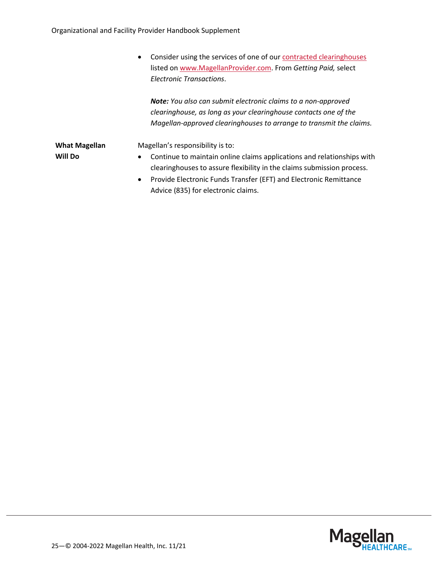• Consider using the services of one of ou[r contracted clearinghouses](https://www.magellanprovider.com/MHS/MGL/getpaid/exations/clearinghouse_info.asp?leftmenu=5&sub=child5_4) listed on [www.MagellanProvider.com.](http://www.magellanprovider.com/) From *Getting Paid,* select *Electronic Transactions*.

*Note: You also can submit electronic claims to a non-approved clearinghouse, as long as your clearinghouse contacts one of the Magellan-approved clearinghouses to arrange to transmit the claims.*

**What Magellan Will Do**

Magellan's responsibility is to:

- Continue to maintain online claims applications and relationships with clearinghouses to assure flexibility in the claims submission process.
- Provide Electronic Funds Transfer (EFT) and Electronic Remittance Advice (835) for electronic claims.

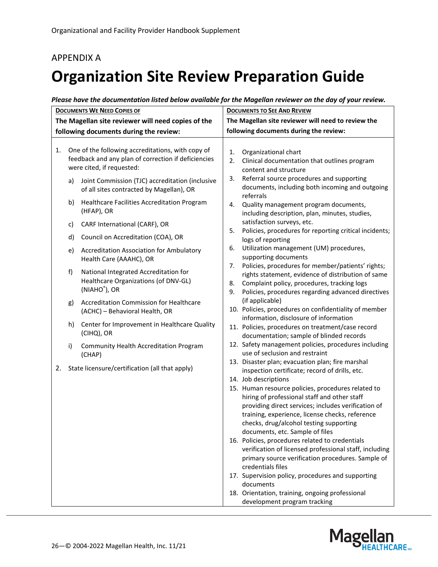### <span id="page-25-0"></span>APPENDIX A

# <span id="page-25-1"></span>**Organization Site Review Preparation Guide**

| Please have the documentation listed below available for the Magellan reviewer on the day of your review. |  |
|-----------------------------------------------------------------------------------------------------------|--|
|-----------------------------------------------------------------------------------------------------------|--|

| <b>DOCUMENTS WE NEED COPIES OF</b>                                                                             |    |                                                                                               | <b>DOCUMENTS TO SEE AND REVIEW</b>                                                                                                                                                                                                                                                         |  |
|----------------------------------------------------------------------------------------------------------------|----|-----------------------------------------------------------------------------------------------|--------------------------------------------------------------------------------------------------------------------------------------------------------------------------------------------------------------------------------------------------------------------------------------------|--|
| The Magellan site reviewer will need copies of the                                                             |    |                                                                                               | The Magellan site reviewer will need to review the                                                                                                                                                                                                                                         |  |
| following documents during the review:                                                                         |    |                                                                                               | following documents during the review:                                                                                                                                                                                                                                                     |  |
| One of the following accreditations, with copy of<br>1.<br>feedback and any plan of correction if deficiencies |    | were cited, if requested:                                                                     | 1.<br>Organizational chart<br>Clinical documentation that outlines program<br>2.                                                                                                                                                                                                           |  |
|                                                                                                                | a) | Joint Commission (TJC) accreditation (inclusive<br>of all sites contracted by Magellan), OR   | content and structure<br>Referral source procedures and supporting<br>3.<br>documents, including both incoming and outgoing<br>referrals                                                                                                                                                   |  |
|                                                                                                                | b) | Healthcare Facilities Accreditation Program<br>(HFAP), OR                                     | Quality management program documents,<br>4.<br>including description, plan, minutes, studies,                                                                                                                                                                                              |  |
|                                                                                                                | c) | CARF International (CARF), OR                                                                 | satisfaction surveys, etc.                                                                                                                                                                                                                                                                 |  |
|                                                                                                                | d) | Council on Accreditation (COA), OR                                                            | Policies, procedures for reporting critical incidents;<br>5.<br>logs of reporting                                                                                                                                                                                                          |  |
|                                                                                                                | e) | Accreditation Association for Ambulatory<br>Health Care (AAAHC), OR                           | Utilization management (UM) procedures,<br>6.<br>supporting documents                                                                                                                                                                                                                      |  |
|                                                                                                                | f) | National Integrated Accreditation for<br>Healthcare Organizations (of DNV-GL)<br>(NIAHO®), OR | Policies, procedures for member/patients' rights;<br>7.<br>rights statement, evidence of distribution of same<br>Complaint policy, procedures, tracking logs<br>8.<br>9.<br>Policies, procedures regarding advanced directives                                                             |  |
|                                                                                                                | g) | <b>Accreditation Commission for Healthcare</b><br>(ACHC) - Behavioral Health, OR              | (if applicable)<br>10. Policies, procedures on confidentiality of member                                                                                                                                                                                                                   |  |
|                                                                                                                | h) | Center for Improvement in Healthcare Quality<br>(CIHQ), OR                                    | information, disclosure of information<br>11. Policies, procedures on treatment/case record<br>documentation; sample of blinded records                                                                                                                                                    |  |
|                                                                                                                | i) | Community Health Accreditation Program<br>(CHAP)                                              | 12. Safety management policies, procedures including<br>use of seclusion and restraint                                                                                                                                                                                                     |  |
| 2.                                                                                                             |    | State licensure/certification (all that apply)                                                | 13. Disaster plan; evacuation plan; fire marshal<br>inspection certificate; record of drills, etc.<br>14. Job descriptions                                                                                                                                                                 |  |
|                                                                                                                |    |                                                                                               | 15. Human resource policies, procedures related to<br>hiring of professional staff and other staff<br>providing direct services; includes verification of<br>training, experience, license checks, reference<br>checks, drug/alcohol testing supporting<br>documents, etc. Sample of files |  |
|                                                                                                                |    |                                                                                               | 16. Policies, procedures related to credentials<br>verification of licensed professional staff, including<br>primary source verification procedures. Sample of<br>credentials files                                                                                                        |  |
|                                                                                                                |    |                                                                                               | 17. Supervision policy, procedures and supporting<br>documents                                                                                                                                                                                                                             |  |
|                                                                                                                |    |                                                                                               | 18. Orientation, training, ongoing professional<br>development program tracking                                                                                                                                                                                                            |  |

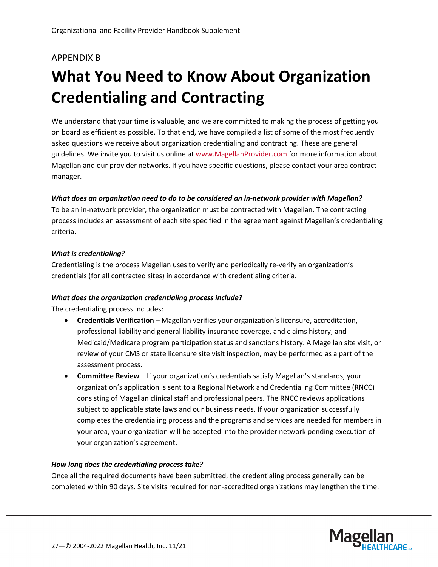### <span id="page-26-0"></span>APPENDIX B

# <span id="page-26-1"></span>**What You Need to Know About Organization Credentialing and Contracting**

We understand that your time is valuable, and we are committed to making the process of getting you on board as efficient as possible. To that end, we have compiled a list of some of the most frequently asked questions we receive about organization credentialing and contracting. These are general guidelines. We invite you to visit us online a[t www.MagellanProvider.com](http://www.magellanprovider.com/) for more information about Magellan and our provider networks. If you have specific questions, please contact your area contract manager.

### *What does an organization need to do to be considered an in-network provider with Magellan?*

To be an in-network provider, the organization must be contracted with Magellan. The contracting process includes an assessment of each site specified in the agreement against Magellan's credentialing criteria.

#### *What is credentialing?*

Credentialing is the process Magellan uses to verify and periodically re-verify an organization's credentials (for all contracted sites) in accordance with credentialing criteria.

#### *What does the organization credentialing process include?*

The credentialing process includes:

- **Credentials Verification** Magellan verifies your organization's licensure, accreditation, professional liability and general liability insurance coverage, and claims history, and Medicaid/Medicare program participation status and sanctions history. A Magellan site visit, or review of your CMS or state licensure site visit inspection, may be performed as a part of the assessment process.
- **Committee Review** If your organization's credentials satisfy Magellan's standards, your organization's application is sent to a Regional Network and Credentialing Committee (RNCC) consisting of Magellan clinical staff and professional peers. The RNCC reviews applications subject to applicable state laws and our business needs. If your organization successfully completes the credentialing process and the programs and services are needed for members in your area, your organization will be accepted into the provider network pending execution of your organization's agreement.

### *How long does the credentialing process take?*

Once all the required documents have been submitted, the credentialing process generally can be completed within 90 days. Site visits required for non-accredited organizations may lengthen the time.

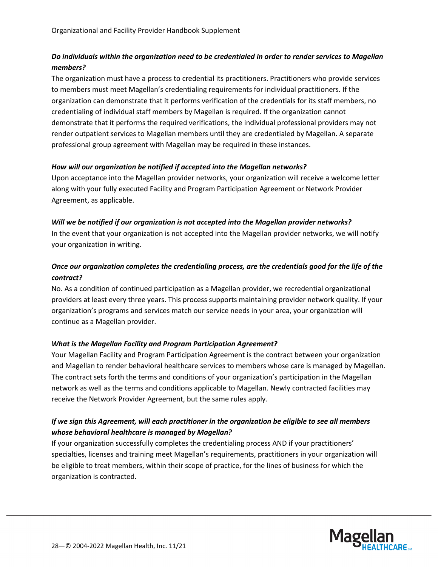### *Do individuals within the organization need to be credentialed in order to render services to Magellan members?*

The organization must have a process to credential its practitioners. Practitioners who provide services to members must meet Magellan's credentialing requirements for individual practitioners. If the organization can demonstrate that it performs verification of the credentials for its staff members, no credentialing of individual staff members by Magellan is required. If the organization cannot demonstrate that it performs the required verifications, the individual professional providers may not render outpatient services to Magellan members until they are credentialed by Magellan. A separate professional group agreement with Magellan may be required in these instances.

### *How will our organization be notified if accepted into the Magellan networks?*

Upon acceptance into the Magellan provider networks, your organization will receive a welcome letter along with your fully executed Facility and Program Participation Agreement or Network Provider Agreement, as applicable.

### *Will we be notified if our organization is not accepted into the Magellan provider networks?*

In the event that your organization is not accepted into the Magellan provider networks, we will notify your organization in writing.

### *Once our organization completes the credentialing process, are the credentials good for the life of the contract?*

No. As a condition of continued participation as a Magellan provider, we recredential organizational providers at least every three years. This process supports maintaining provider network quality. If your organization's programs and services match our service needs in your area, your organization will continue as a Magellan provider.

### *What is the Magellan Facility and Program Participation Agreement?*

Your Magellan Facility and Program Participation Agreement is the contract between your organization and Magellan to render behavioral healthcare services to members whose care is managed by Magellan. The contract sets forth the terms and conditions of your organization's participation in the Magellan network as well as the terms and conditions applicable to Magellan. Newly contracted facilities may receive the Network Provider Agreement, but the same rules apply.

### *If we sign this Agreement, will each practitioner in the organization be eligible to see all members whose behavioral healthcare is managed by Magellan?*

If your organization successfully completes the credentialing process AND if your practitioners' specialties, licenses and training meet Magellan's requirements, practitioners in your organization will be eligible to treat members, within their scope of practice, for the lines of business for which the organization is contracted.

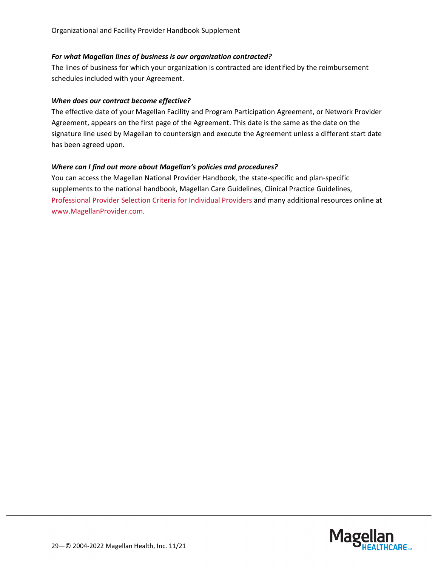#### *For what Magellan lines of business is our organization contracted?*

The lines of business for which your organization is contracted are identified by the reimbursement schedules included with your Agreement.

#### *When does our contract become effective?*

The effective date of your Magellan Facility and Program Participation Agreement, or Network Provider Agreement, appears on the first page of the Agreement. This date is the same as the date on the signature line used by Magellan to countersign and execute the Agreement unless a different start date has been agreed upon.

### *Where can I find out more about Magellan's policies and procedures?*

You can access the Magellan National Provider Handbook, the state-specific and plan-specific supplements to the national handbook, Magellan Care Guidelines, Clinical Practice Guidelines, [Professional Provider Selection Criteria for Individual Providers](https://www.magellanprovider.com/media/11915/b_indivcrit.pdf) and many additional resources online at [www.MagellanProvider.com.](http://www.magellanprovider.com/)

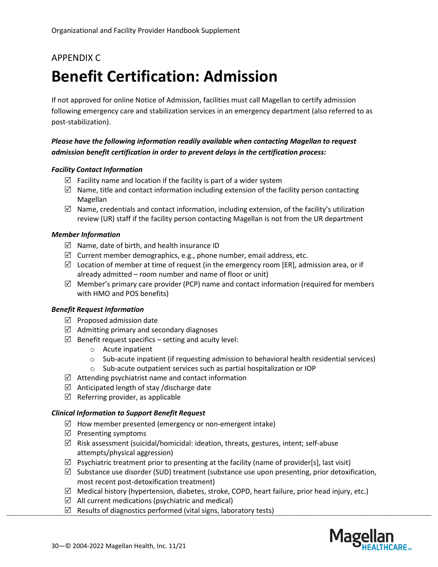### <span id="page-29-0"></span>APPENDIX C

# <span id="page-29-1"></span>**Benefit Certification: Admission**

If not approved for online Notice of Admission, facilities must call Magellan to certify admission following emergency care and stabilization services in an emergency department (also referred to as post-stabilization).

### *Please have the following information readily available when contacting Magellan to request admission benefit certification in order to prevent delays in the certification process:*

### *Facility Contact Information*

- $\boxtimes$  Facility name and location if the facility is part of a wider system
- $\boxtimes$  Name, title and contact information including extension of the facility person contacting Magellan
- $\boxtimes$  Name, credentials and contact information, including extension, of the facility's utilization review (UR) staff if the facility person contacting Magellan is not from the UR department

#### *Member Information*

- $\boxtimes$  Name, date of birth, and health insurance ID
- $\boxtimes$  Current member demographics, e.g., phone number, email address, etc.
- $\boxtimes$  Location of member at time of request (in the emergency room [ER], admission area, or if already admitted – room number and name of floor or unit)
- $\boxtimes$  Member's primary care provider (PCP) name and contact information (required for members with HMO and POS benefits)

#### *Benefit Request Information*

- $\triangledown$  Proposed admission date
- $\boxtimes$  Admitting primary and secondary diagnoses
- $\boxtimes$  Benefit request specifics setting and acuity level:
	- o Acute inpatient
	- o Sub-acute inpatient (if requesting admission to behavioral health residential services)
	- o Sub-acute outpatient services such as partial hospitalization or IOP
- $\boxtimes$  Attending psychiatrist name and contact information
- $\boxtimes$  Anticipated length of stay /discharge date
- $\boxtimes$  Referring provider, as applicable

#### *Clinical Information to Support Benefit Request*

- $\boxtimes$  How member presented (emergency or non-emergent intake)
- $\boxtimes$  Presenting symptoms
- $\boxtimes$  Risk assessment (suicidal/homicidal: ideation, threats, gestures, intent; self-abuse attempts/physical aggression)
- $\boxtimes$  Psychiatric treatment prior to presenting at the facility (name of provider[s], last visit)
- $\boxtimes$  Substance use disorder (SUD) treatment (substance use upon presenting, prior detoxification, most recent post-detoxification treatment)
- $\boxtimes$  Medical history (hypertension, diabetes, stroke, COPD, heart failure, prior head injury, etc.)
- $\boxtimes$  All current medications (psychiatric and medical)
- $\boxtimes$  Results of diagnostics performed (vital signs, laboratory tests)

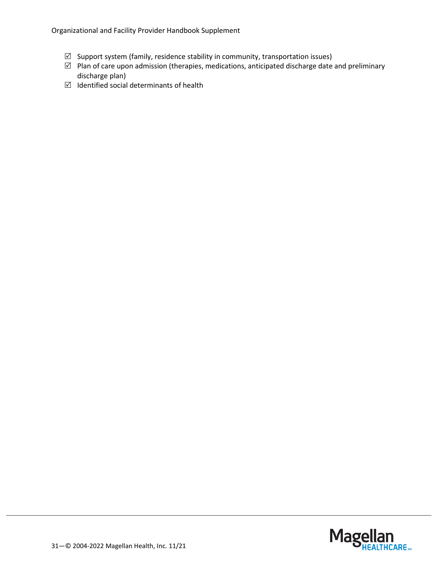Organizational and Facility Provider Handbook Supplement

- $\boxtimes$  Support system (family, residence stability in community, transportation issues)
- $\boxtimes$  Plan of care upon admission (therapies, medications, anticipated discharge date and preliminary discharge plan)
- $\boxtimes$  Identified social determinants of health

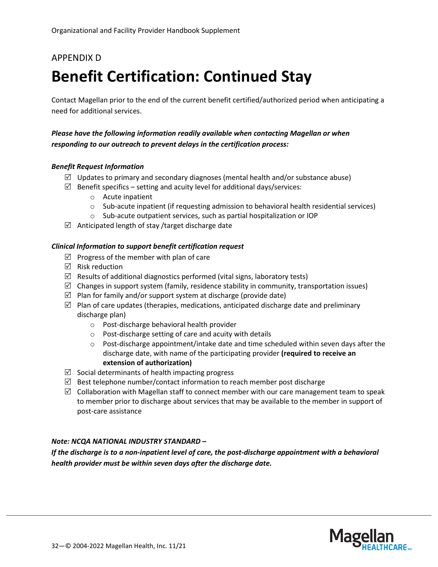### <span id="page-31-0"></span>APPENDIX D

# <span id="page-31-1"></span>**Benefit Certification: Continued Stay**

Contact Magellan prior to the end of the current benefit certified/authorized period when anticipating a need for additional services.

### *Please have the following information readily available when contacting Magellan or when responding to our outreach to prevent delays in the certification process:*

#### *Benefit Request Information*

- $\boxtimes$  Updates to primary and secondary diagnoses (mental health and/or substance abuse)
- $\boxtimes$  Benefit specifics setting and acuity level for additional days/services:
	- o Acute inpatient
	- $\circ$  Sub-acute inpatient (if requesting admission to behavioral health residential services)
	- o Sub-acute outpatient services, such as partial hospitalization or IOP
- $\boxtimes$  Anticipated length of stay /target discharge date

#### *Clinical Information to support benefit certification request*

- $\boxtimes$  Progress of the member with plan of care
- $\boxtimes$  Risk reduction
- $\boxtimes$  Results of additional diagnostics performed (vital signs, laboratory tests)
- $\boxtimes$  Changes in support system (family, residence stability in community, transportation issues)
- $\boxtimes$  Plan for family and/or support system at discharge (provide date)
- $\boxtimes$  Plan of care updates (therapies, medications, anticipated discharge date and preliminary discharge plan)
	- o Post-discharge behavioral health provider
	- o Post-discharge setting of care and acuity with details
	- $\circ$  Post-discharge appointment/intake date and time scheduled within seven days after the discharge date, with name of the participating provider **(required to receive an extension of authorization)**
- $\boxtimes$  Social determinants of health impacting progress
- $\boxtimes$  Best telephone number/contact information to reach member post discharge
- $\boxtimes$  Collaboration with Magellan staff to connect member with our care management team to speak to member prior to discharge about services that may be available to the member in support of post-care assistance

#### *Note: NCQA NATIONAL INDUSTRY STANDARD –*

*If the discharge is to a non-inpatient level of care, the post-discharge appointment with a behavioral health provider must be within seven days after the discharge date.*

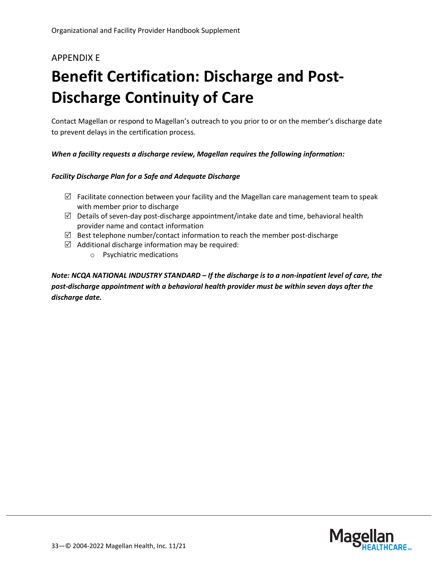# <span id="page-32-0"></span>APPENDIX E

# <span id="page-32-1"></span>**Benefit Certification: Discharge and Post-Discharge Continuity of Care**

Contact Magellan or respond to Magellan's outreach to you prior to or on the member's discharge date to prevent delays in the certification process.

### *When a facility requests a discharge review, Magellan requires the following information:*

#### *Facility Discharge Plan for a Safe and Adequate Discharge*

- $\boxtimes$  Facilitate connection between your facility and the Magellan care management team to speak with member prior to discharge
- $\boxtimes$  Details of seven-day post-discharge appointment/intake date and time, behavioral health provider name and contact information
- $\boxtimes$  Best telephone number/contact information to reach the member post-discharge
- $\boxtimes$  Additional discharge information may be required:
	- o Psychiatric medications

*Note: NCQA NATIONAL INDUSTRY STANDARD – If the discharge is to a non-inpatient level of care, the post-discharge appointment with a behavioral health provider must be within seven days after the discharge date.*

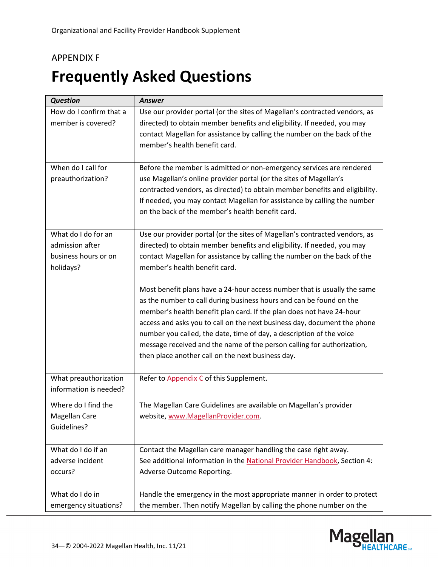### <span id="page-33-0"></span>APPENDIX F

# <span id="page-33-1"></span>**Frequently Asked Questions**

| <b>Question</b>                                                             | <b>Answer</b>                                                                                                                                                                                                                                                                                                                                                                                                                                                                                              |
|-----------------------------------------------------------------------------|------------------------------------------------------------------------------------------------------------------------------------------------------------------------------------------------------------------------------------------------------------------------------------------------------------------------------------------------------------------------------------------------------------------------------------------------------------------------------------------------------------|
| How do I confirm that a<br>member is covered?                               | Use our provider portal (or the sites of Magellan's contracted vendors, as<br>directed) to obtain member benefits and eligibility. If needed, you may<br>contact Magellan for assistance by calling the number on the back of the<br>member's health benefit card.                                                                                                                                                                                                                                         |
| When do I call for<br>preauthorization?                                     | Before the member is admitted or non-emergency services are rendered<br>use Magellan's online provider portal (or the sites of Magellan's<br>contracted vendors, as directed) to obtain member benefits and eligibility.<br>If needed, you may contact Magellan for assistance by calling the number<br>on the back of the member's health benefit card.                                                                                                                                                   |
| What do I do for an<br>admission after<br>business hours or on<br>holidays? | Use our provider portal (or the sites of Magellan's contracted vendors, as<br>directed) to obtain member benefits and eligibility. If needed, you may<br>contact Magellan for assistance by calling the number on the back of the<br>member's health benefit card.                                                                                                                                                                                                                                         |
|                                                                             | Most benefit plans have a 24-hour access number that is usually the same<br>as the number to call during business hours and can be found on the<br>member's health benefit plan card. If the plan does not have 24-hour<br>access and asks you to call on the next business day, document the phone<br>number you called, the date, time of day, a description of the voice<br>message received and the name of the person calling for authorization,<br>then place another call on the next business day. |
| What preauthorization<br>information is needed?                             | Refer to Appendix C of this Supplement.                                                                                                                                                                                                                                                                                                                                                                                                                                                                    |
| Where do I find the<br>Magellan Care<br>Guidelines?                         | The Magellan Care Guidelines are available on Magellan's provider<br>website, www.MagellanProvider.com.                                                                                                                                                                                                                                                                                                                                                                                                    |
| What do I do if an<br>adverse incident<br>occurs?                           | Contact the Magellan care manager handling the case right away.<br>See additional information in the National Provider Handbook, Section 4:<br>Adverse Outcome Reporting.                                                                                                                                                                                                                                                                                                                                  |
| What do I do in<br>emergency situations?                                    | Handle the emergency in the most appropriate manner in order to protect<br>the member. Then notify Magellan by calling the phone number on the                                                                                                                                                                                                                                                                                                                                                             |

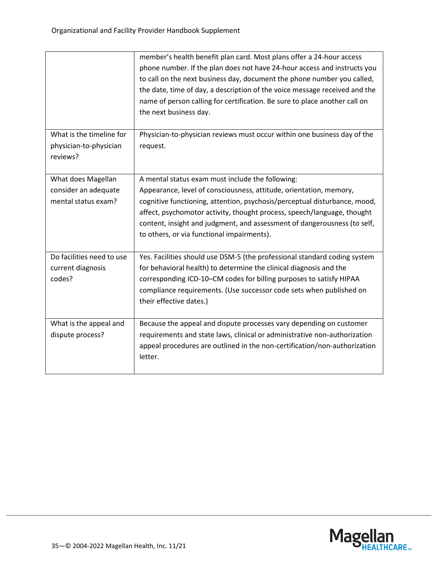|                                                                   | member's health benefit plan card. Most plans offer a 24-hour access<br>phone number. If the plan does not have 24-hour access and instructs you<br>to call on the next business day, document the phone number you called,<br>the date, time of day, a description of the voice message received and the<br>name of person calling for certification. Be sure to place another call on<br>the next business day. |
|-------------------------------------------------------------------|-------------------------------------------------------------------------------------------------------------------------------------------------------------------------------------------------------------------------------------------------------------------------------------------------------------------------------------------------------------------------------------------------------------------|
| What is the timeline for<br>physician-to-physician<br>reviews?    | Physician-to-physician reviews must occur within one business day of the<br>request.                                                                                                                                                                                                                                                                                                                              |
| What does Magellan<br>consider an adequate<br>mental status exam? | A mental status exam must include the following:<br>Appearance, level of consciousness, attitude, orientation, memory,<br>cognitive functioning, attention, psychosis/perceptual disturbance, mood,<br>affect, psychomotor activity, thought process, speech/language, thought<br>content, insight and judgment, and assessment of dangerousness (to self,<br>to others, or via functional impairments).          |
| Do facilities need to use<br>current diagnosis<br>codes?          | Yes. Facilities should use DSM-5 (the professional standard coding system<br>for behavioral health) to determine the clinical diagnosis and the<br>corresponding ICD-10-CM codes for billing purposes to satisfy HIPAA<br>compliance requirements. (Use successor code sets when published on<br>their effective dates.)                                                                                          |
| What is the appeal and<br>dispute process?                        | Because the appeal and dispute processes vary depending on customer<br>requirements and state laws, clinical or administrative non-authorization<br>appeal procedures are outlined in the non-certification/non-authorization<br>letter.                                                                                                                                                                          |

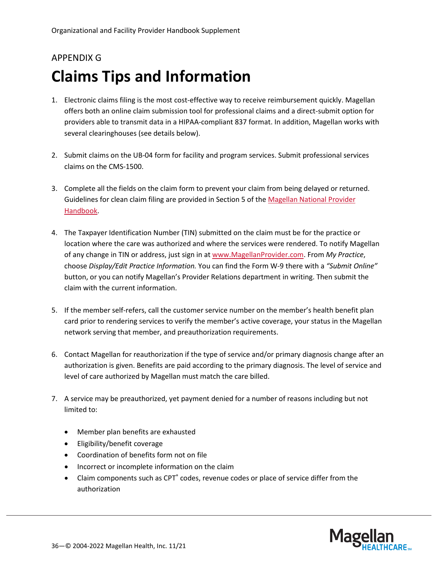# <span id="page-35-1"></span><span id="page-35-0"></span>APPENDIX G **Claims Tips and Information**

- 1. Electronic claims filing is the most cost-effective way to receive reimbursement quickly. Magellan offers both an online claim submission tool for professional claims and a direct-submit option for providers able to transmit data in a HIPAA-compliant 837 format. In addition, Magellan works with several clearinghouses (see details below).
- 2. Submit claims on the UB-04 form for facility and program services. Submit professional services claims on the CMS-1500.
- 3. Complete all the fields on the claim form to prevent your claim from being delayed or returned. Guidelines for clean claim filing are provided in Section 5 of th[e Magellan National Provider](https://www.magellanprovider.com/news-publications/handbooks.aspx)  [Handbook.](https://www.magellanprovider.com/news-publications/handbooks.aspx)
- 4. The Taxpayer Identification Number (TIN) submitted on the claim must be for the practice or location where the care was authorized and where the services were rendered. To notify Magellan of any change in TIN or address, just sign in at [www.MagellanProvider.com.](http://www.magellanprovider.com/) From *My Practice*, choose *Display/Edit Practice Information.* You can find the Form W-9 there with a *"Submit Online"* button, or you can notify Magellan's Provider Relations department in writing. Then submit the claim with the current information.
- 5. If the member self-refers, call the customer service number on the member's health benefit plan card prior to rendering services to verify the member's active coverage, your status in the Magellan network serving that member, and preauthorization requirements.
- 6. Contact Magellan for reauthorization if the type of service and/or primary diagnosis change after an authorization is given. Benefits are paid according to the primary diagnosis. The level of service and level of care authorized by Magellan must match the care billed.
- 7. A service may be preauthorized, yet payment denied for a number of reasons including but not limited to:
	- Member plan benefits are exhausted
	- Eligibility/benefit coverage
	- Coordination of benefits form not on file
	- Incorrect or incomplete information on the claim
	- Claim components such as CPT<sup>®</sup> codes, revenue codes or place of service differ from the authorization

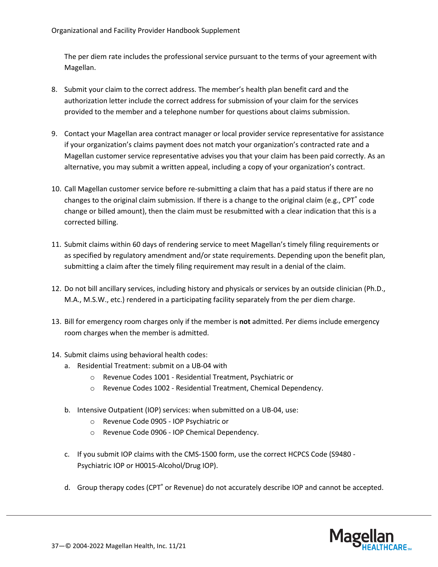The per diem rate includes the professional service pursuant to the terms of your agreement with Magellan.

- 8. Submit your claim to the correct address. The member's health plan benefit card and the authorization letter include the correct address for submission of your claim for the services provided to the member and a telephone number for questions about claims submission.
- 9. Contact your Magellan area contract manager or local provider service representative for assistance if your organization's claims payment does not match your organization's contracted rate and a Magellan customer service representative advises you that your claim has been paid correctly. As an alternative, you may submit a written appeal, including a copy of your organization's contract.
- 10. Call Magellan customer service before re-submitting a claim that has a paid status if there are no changes to the original claim submission. If there is a change to the original claim (e.g., CPT<sup>®</sup> code change or billed amount), then the claim must be resubmitted with a clear indication that this is a corrected billing.
- 11. Submit claims within 60 days of rendering service to meet Magellan's timely filing requirements or as specified by regulatory amendment and/or state requirements. Depending upon the benefit plan, submitting a claim after the timely filing requirement may result in a denial of the claim.
- 12. Do not bill ancillary services, including history and physicals or services by an outside clinician (Ph.D., M.A., M.S.W., etc.) rendered in a participating facility separately from the per diem charge.
- 13. Bill for emergency room charges only if the member is **not** admitted. Per diems include emergency room charges when the member is admitted.
- 14. Submit claims using behavioral health codes:
	- a. Residential Treatment: submit on a UB-04 with
		- o Revenue Codes 1001 Residential Treatment, Psychiatric or
		- o Revenue Codes 1002 Residential Treatment, Chemical Dependency.
	- b. Intensive Outpatient (IOP) services: when submitted on a UB-04, use:
		- o Revenue Code 0905 IOP Psychiatric or
		- o Revenue Code 0906 IOP Chemical Dependency.
	- c. If you submit IOP claims with the CMS-1500 form, use the correct HCPCS Code (S9480 Psychiatric IOP or H0015-Alcohol/Drug IOP).
	- d. Group therapy codes (CPT<sup>®</sup> or Revenue) do not accurately describe IOP and cannot be accepted.

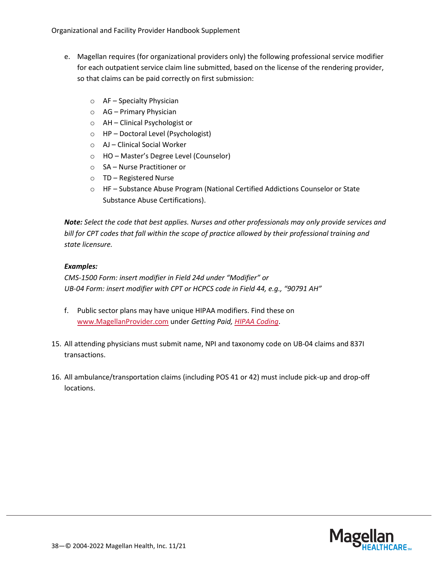- e. Magellan requires (for organizational providers only) the following professional service modifier for each outpatient service claim line submitted, based on the license of the rendering provider, so that claims can be paid correctly on first submission:
	- o AF Specialty Physician
	- o AG Primary Physician
	- o AH Clinical Psychologist or
	- o HP Doctoral Level (Psychologist)
	- o AJ Clinical Social Worker
	- o HO Master's Degree Level (Counselor)
	- o SA Nurse Practitioner or
	- o TD Registered Nurse
	- o HF Substance Abuse Program (National Certified Addictions Counselor or State Substance Abuse Certifications).

*Note: Select the code that best applies. Nurses and other professionals may only provide services and bill for CPT codes that fall within the scope of practice allowed by their professional training and state licensure.*

### *Examples:*

*CMS-1500 Form: insert modifier in Field 24d under "Modifier" or UB-04 Form: insert modifier with CPT or HCPCS code in Field 44, e.g., "90791 AH"*

- f. Public sector plans may have unique HIPAA modifiers. Find these on [www.MagellanProvider.com](http://www.magellanprovider.com/) under *Getting Paid, [HIPAA Coding](https://www.magellanprovider.com/getting-paid/hipaa-coding.aspx)*.
- 15. All attending physicians must submit name, NPI and taxonomy code on UB-04 claims and 837I transactions.
- 16. All ambulance/transportation claims (including POS 41 or 42) must include pick-up and drop-off locations.

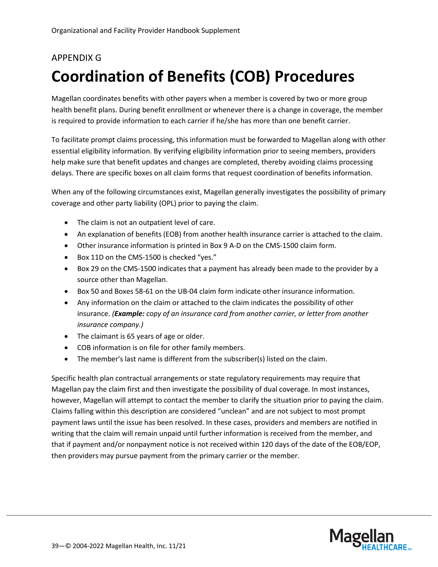# <span id="page-38-0"></span>APPENDIX G **Coordination of Benefits (COB) Procedures**

Magellan coordinates benefits with other payers when a member is covered by two or more group health benefit plans. During benefit enrollment or whenever there is a change in coverage, the member is required to provide information to each carrier if he/she has more than one benefit carrier.

To facilitate prompt claims processing, this information must be forwarded to Magellan along with other essential eligibility information. By verifying eligibility information prior to seeing members, providers help make sure that benefit updates and changes are completed, thereby avoiding claims processing delays. There are specific boxes on all claim forms that request coordination of benefits information.

When any of the following circumstances exist, Magellan generally investigates the possibility of primary coverage and other party liability (OPL) prior to paying the claim.

- The claim is not an outpatient level of care.
- An explanation of benefits (EOB) from another health insurance carrier is attached to the claim.
- Other insurance information is printed in Box 9 A-D on the CMS-1500 claim form.
- Box 11D on the CMS-1500 is checked "yes."
- Box 29 on the CMS-1500 indicates that a payment has already been made to the provider by a source other than Magellan.
- Box 50 and Boxes 58-61 on the UB-04 claim form indicate other insurance information.
- Any information on the claim or attached to the claim indicates the possibility of other insurance. *(Example: copy of an insurance card from another carrier, or letter from another insurance company.)*
- The claimant is 65 years of age or older.
- COB information is on file for other family members.
- The member's last name is different from the subscriber(s) listed on the claim.

Specific health plan contractual arrangements or state regulatory requirements may require that Magellan pay the claim first and then investigate the possibility of dual coverage. In most instances, however, Magellan will attempt to contact the member to clarify the situation prior to paying the claim. Claims falling within this description are considered "unclean" and are not subject to most prompt payment laws until the issue has been resolved. In these cases, providers and members are notified in writing that the claim will remain unpaid until further information is received from the member, and that if payment and/or nonpayment notice is not received within 120 days of the date of the EOB/EOP, then providers may pursue payment from the primary carrier or the member.

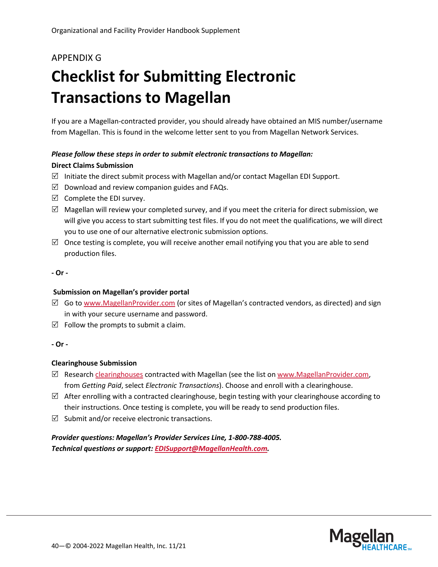# APPENDIX G

# <span id="page-39-0"></span>**Checklist for Submitting Electronic Transactions to Magellan**

If you are a Magellan-contracted provider, you should already have obtained an MIS number/username from Magellan. This is found in the welcome letter sent to you from Magellan Network Services.

### *Please follow these steps in order to submit electronic transactions to Magellan:*

#### **Direct Claims Submission**

- $\boxtimes$  Initiate the direct submit process with Magellan and/or contact Magellan EDI Support.
- $\boxtimes$  Download and review companion guides and FAQs.
- $\boxtimes$  Complete the EDI survey.
- $\boxtimes$  Magellan will review your completed survey, and if you meet the criteria for direct submission, we will give you access to start submitting test files. If you do not meet the qualifications, we will direct you to use one of our alternative electronic submission options.
- $\boxtimes$  Once testing is complete, you will receive another email notifying you that you are able to send production files.

#### **- Or -**

#### **Submission on Magellan's provider portal**

- $\boxtimes$  Go to [www.MagellanProvider.com](http://www.magellanprovider.com/) (or sites of Magellan's contracted vendors, as directed) and sign in with your secure username and password.
- $\boxtimes$  Follow the prompts to submit a claim.

#### **- Or -**

#### **Clearinghouse Submission**

- $\boxtimes$  Research [clearinghouses](https://www.magellanprovider.com/getting-paid/electronic-transactions/clearinghouse-contact-information.aspx) contracted with Magellan (see the list on [www.MagellanProvider.com,](http://www.magellanprovider.com/) from *Getting Paid*, select *Electronic Transactions*). Choose and enroll with a clearinghouse.
- $\boxtimes$  After enrolling with a contracted clearinghouse, begin testing with your clearinghouse according to their instructions. Once testing is complete, you will be ready to send production files.
- $\boxtimes$  Submit and/or receive electronic transactions.

*Provider questions: Magellan's Provider Services Line, 1-800-788-4005. Technical questions or support: [EDISupport@MagellanHealth.com.](mailto:EDISupport@MagellanHealth.com)*